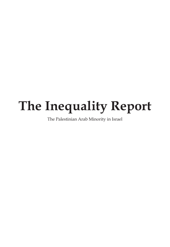### **The Inequality Report**

The Palestinian Arab Minority in Israel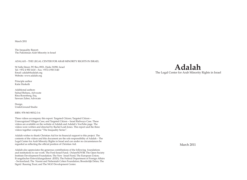March 2011

The Inequality Report: The Palestinian Arab Minority in Israel

#### ADALAH – THE LEGAL CENTER FOR ARAB MINORITY RIGHTS IN ISRAEL

94 Yaffa Street, PO Box 8921, Haifa 31090, Israel Tel: +972 4 950 1610 – Fax: +972 4 950 3140 Email: adalah@adalah.org Website: www.adalah.org

Principle author Katie Hesketh

Additional authors Suhad Bishara, Advocate Rina Rosenberg, Esq. Sawsan Zaher, Advocate

Design UnderGround Studio

ISBN: 978-965-90512-3-6

Three videos accompany this report: Targeted Citizen; Targeted Citizen – Unrecognized Villages Case; and Targeted Citizen – Israel Railways Case. These videos are available on the website of Adalah and Adalah's YouTube page. The videos were written and directed by Rachel Leah Jones. This report and the three videos together comprise "The Inequality Series".

Adalah wishes to thank Christian Aid for its financial support to this project. The contents of the videos and this document are the sole responsibility of Adalah – The Legal Center for Arab Minority Rights in Israel and can under no circumstances be regarded as reflecting the official position of Christian Aid.

Adalah also appreciates the generous contributions of the following foundations and institutions to our work: The Ford-Israel Fund; OxfamNOVIB; The Open Society Institute Development Foundation; The New Israel Fund; The European Union; Evangelischer Entwicklungsdienst (EED); The Federal Department of Foreign Affairs - Switzerland; The Naomi and Nehemiah Cohen Foundation; Broederlijk Delen; The Sigrid Rausing Trust; and The NGO Development Center.



March 2011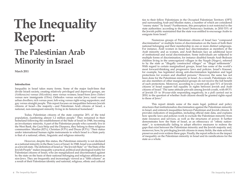# **The Inequality Report:**

### **The Palestinian Arab Minority in Israel**

#### **March 2011**

#### **Introduction**

Inequality in Israel takes many forms. Some of the major fault-lines that divide Israeli society, creating relatively privileged and deprived groups, are *(Ashkenazim)* versus *(Mizrahim)*; men versus women; Israel-born Jews *(Sabar)* versus new immigrants *(Olim)*; Orthodox versus secular Jews; rural versus urban dwellers; rich versus poor; left-wing versus right-wing supporters; and gay versus straight people. This report focuses on inequalities between Jewish citizens of Israel—the majority—and Palestinian Arab citizens of Israel, a national, non-immigrant minority living in its historical homeland.<sup>1</sup>

 Today, Palestinian citizens of the state comprise 20% of the total population, numbering almost 1.2 million people.<sup>2</sup> They remained in their homeland following the establishment of the State of Israel in 1948, becoming an involuntary minority. A part of the Palestinian people who currently live in the West Bank, the Gaza Strip and the Diaspora, they belong to three religious communities: Muslim (82%), Christian (9.5%) and Druze (8.5%).3 Their status under international human rights instruments to which Israel is a State party is that of a national, ethnic, linguistic and religious minority.

 However, despite this status, the Palestinian minority is not declared as a national minority in the Basic Laws of Israel. In 1948, Israel was established as a Jewish state. The definition of Israel as "the Jewish State" or "the State of the Jewish People" makes inequality a practical, political and ideological reality for Palestinian citizens of Israel, who are marginalized and discriminated against by the state on the basis of their national belonging and religious affiliation as non-Jews. They are frequently and increasingly viewed as a "fifth column" as a result of their Palestinian identity and national, religious, ethnic and cultural ties to their fellow Palestinians in the Occupied Palestinian Territory (OPT) and surrounding Arab and Muslim states, a number of which are considered "enemy states" by Israel.<sup>4</sup> Furthermore, this perception is not restricted to the state authorities: according to the Israel Democracy Institute, in 2010 53% of the Jewish public maintained that the state was entitled to encourage Arabs to emigrate from Israel.<sup>5</sup>

 Numerous groups of Palestinian citizens of Israel face "compound discrimination" or multiple forms of discrimination on the basis of both their national belonging and their membership in one or more distinct subgroups. For instance, Arab women in Israel face discrimination as members of the Arab minority and as women, and Arab Bedouin face an additional layer of institutional and social discrimination. Some individuals are subjected to multiple forms of discrimination, for instance disabled female Arab Bedouin children living in the unrecognized villages in the Naqab (Negev), referred to by the state as "illegally constructed villages" or "illegal settlements". With regard to certain marginalized groups, Israel has some of the world's most forward-thinking and progressive laws and policies. Israel's Knesset, for example, has legislated strong anti-discrimination legislation and legal protections for women and disabled persons.<sup>6</sup> However, the same has not been done for the Palestinian minority in Israel. As a result, Palestinians who are also members of other marginalized groups do not receive the full benefit of such protections. Moreover, according to a recent poll, just 51% of Jewish citizens of Israel support full equality in rights between Jewish and Arab citizens of Israel.7 The same attitude prevails among Jewish youth, with 49.5% of Jewish 15- to 18-year-olds responding negatively, in a poll carried out in 2010, to the question of whether Arab citizens should be granted rights equal to those of Jews.<sup>8</sup>

 This report details some of the main legal, political and policy structures that institutionalize discrimination against the Palestinian minority in Israel, and entrench inequalities between Palestinian and Jewish citizens. It provides indicators of inequalities, including official state data, and explains how specific laws and policies work to exclude the Palestinian minority from state resources and services, as well as the structures of power. It further demonstrates how the State of Israel, as an ethnocracy or "ethnic nationstate", is systematically failing to adopt effective measures to redress the gaps that exist between the Palestinian minority and the Jewish majority and, moreover, how, by privileging Jewish citizens in many fields, the state actively preserves and even widens these gaps. Finally, the report reflects on the impact of inequality on the Palestinian minority in Israel and its ramifications for the state as a whole.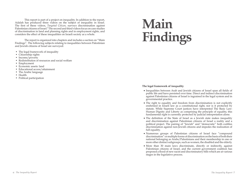This report is part of a project on inequality. In addition to the report, Adalah has produced three videos on the subject of inequality in Israel. The first of these videos, *Targeted Citizen*, surveys discrimination against Palestinian citizens of Israel.<sup>9</sup> The second and third videos focus on case studies of discrimination in land and planning rights and in employment rights, and considers the effect of these inequalities on Israeli society as a whole.

 The report is organized into chapters and includes a section on "Main Findings". The following subjects relating to inequalities between Palestinian and Jewish citizens of Israel are surveyed:

- The legal framework of inequality
- Citizenship rights
- Income/poverty
- Redistribution of resources and social welfare
- Employment
- Economic assets: land
- Educational access/attainment
- The Arabic language
- Health
- Political participation

# **Main Findings**

#### **Main Findings The legal framework of inequality**

- Inequalities between Arab and Jewish citizens of Israel span all fields of public life and have persisted over time. Direct and indirect discrimination against Palestinian citizens of Israel is ingrained in the legal system and in governmental practice.
- The right to equality and freedom from discrimination is not explicitly enshrined in Israeli law as a constitutional right, nor is it protected by statute. While Supreme Court justices have interpreted The Basic Law: Human Dignity and Liberty as comprising the principle of equality, this fundamental right is currently protected by judicial interpretation alone.
- The definition of the State of Israel as a Jewish state makes inequality and discrimination against Palestinian citizens of Israel a reality and a political project. The pairing of "Jewish" and "democratic" both codifies discrimination against non-Jewish citizens and impedes the realization of full equality.
- Numerous groups of Palestinian citizens of Israel face "compound discrimination" or multiple forms of discrimination on the basis of both their national belonging as Arabs/Palestinians and their membership in one or more other distinct subgroups, such as women, the disabled and the elderly.
- More than 30 main laws discriminate, directly or indirectly, against Palestinian citizens of Israel, and the current government coalition has proposed a flood of new racist and discriminatory bills which are at various stages in the legislative process.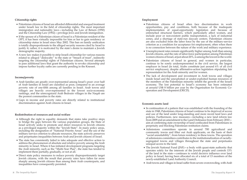#### **Citizenship rights**

- Palestinian citizens of Israel are afforded differential and unequal treatment under Israeli law in the field of citizenship rights. The most important immigration and nationality laws—including the Law of Return (1950) and the Citizenship Law (1952)—privilege Jews and Jewish immigration.
- If the spouse of a Palestinian citizen of Israel is a Palestinian resident of the OPT, it has been virtually impossible for him or her to gain residency or citizenship status in Israel since May 2002. This ban on family unification is totally disproportionate to the alleged security reasons cited by Israel to justify it; rather, it is motivated by the state's desire to maintain a Jewish demographic majority.
- A new law makes it possible to strip Israeli citizenship for various reasons related to alleged "disloyalty" to the state or "breach of trust", indirectly targeting the citizenship rights of Palestinian citizens. Several attempts to pass additional laws that grant the authority to revoke citizenship and impose further loyalty oaths are currently pending in the Knesset.

#### **Income/poverty**

- Arab families are greatly over-represented among Israel's poor: over half of Arab families in Israel are classified as poor, compared to an average poverty rate of one-fifth among all families in Israel. Arab towns and villages are heavily over-represented in the lowest socio-economic rankings, and the unrecognized Arab Bedouin villages in the Naqab are the poorest communities in the state.
- Gaps in income and poverty rates are directly related to institutional discrimination against Arab citizens in Israel.

#### **Redistribution of resources and social welfare**

- Although the right to equality demands that states take positive steps to bridge the gaps between the various population groups, the State of Israel actively seeks to promote and direct resources to Jewish citizens as a privileged majority within the "Jewish State". In many policy areas, including the designation of "National Priority Areas" and the use of the military-service criterion to allocate resources, the state actively preserves and perpetuates inequalities between Arab and Jewish citizens of Israel.
- The state has consistently failed to take adequate and effective action to address the phenomenon of absolute and relative poverty among the Arab minority in Israel. Where it has initiated development programs targeting the Arab minority, such as the "Multi-Year Plan", the state has tended to implement them partially, gradually, or not at all.
- Direct state policy measures to reduce poverty disproportionately target Jewish citizens, with the result that poverty rates have fallen far more sharply among Jewish citizens than among their Arab counterparts, and inequalities have consequently persisted.

#### **Employment**

- Palestinian citizens of Israel often face discrimination in work opportunities, pay and conditions, both because of the inadequate implementation of equal-opportunity legislation and because of entrenched structural barriers, which particularly affect women, and include poor or non-existent public transportation, a lack of industrial zones, and a shortage of state-run daycare centers. Palestinian citizens are also excluded from the labor force by the use of the military-service criterion as a condition for acceptance for employment, often when there is no connection between the nature of the work and military experience.
- Unemployment rates remain significantly higher among Arab than among Jewish citizens, and the rate of labor-force participation among Palestinian women citizens of Israel, at just about 20%, is among the lowest in the world.
- Palestinian citizens of Israel in general, and women in particular, continue to be sorely underrepresented in the civil service, the largest employer in Israel (in total, Arabs constitute just around 6% of all civil service employees), despite affirmative-action legislation stipulating fair representation for the Arab minority and for women.
- The lack of development and investment in Arab towns and villages inside Israel and the unexploited or under-exploited human resources of the members of the Palestinian minority inhibit the growth of the Israeli economy. The lost potential to Israel's economy has been estimated at around US\$ 8 billion per year by the Organisation for Economic Cooperation and Development (OECD).

#### **Economic assets: land**

- In continuation of a pattern that was established with the founding of the state in 1948, Palestinian citizens of Israel continue to be deprived of access and use of the land under long-standing and more recent land laws and policies. Furthermore, new measures—including a new land reform law from 2009 and an amendment to the Land Ordinance from February 2010 aim at confirming state ownership of land confiscated from Palestinians in perpetuity and blocking Palestinian restitution claims.
- Admissions committees operate in around 700 agricultural and community towns and filter out Arab applicants, on the basis of their "social unsuitability", from future residency in these towns. The operation of admissions committees contributes to the institutionalization of raciallysegregated towns and villages throughout the state and perpetuates unequal access to the land.
- The Jewish National Fund (JNF)—a body with quasi-state authority that operates solely for the interests of the Jewish people and controls 13% of the land in the state—continues to wield decisive influence over land policy in Israel, having been allocated six of a total of 13 members of the newly-established Land Authority Council.
- Arab towns and villages in Israel suffer from severe overcrowding, with Arab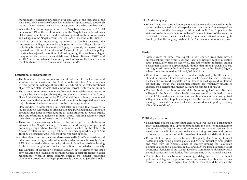municipalities exercising jurisdiction over only 2.5% of the total area of the state. Since 1948, the State of Israel has established approximately 600 Jewish municipalities, whereas no new Arab village, town or city has ever been built.

- While the Arab Bedouin population in the Naqab stands at around 170,000 persons, or 14% of the total population in the Naqab, the combined areas of the government-planned and newly-recognized Arab Bedouin towns and villages in the Naqab account for just 0.9% of the land in the district.
- Israel is currently intensifying its efforts to forcibly evacuate the unrecognized villages in the Naqab (referred to as "illegal clusters"), including by demolishing entire villages, as recently witnessed in the repeated demolition of the village of Al-Araqib. In pursuing this policy, the state has rejected the option of affording recognition to these villages, many of which predate the establishment of Israel. Between 75,000 and 90,000 Arab Bedouin live in the unrecognized villages in the Naqab, whom the state characterizes as "trespassers on state land".

#### **Educational access/attainment**

- The Ministry of Education retains centralized control over the form and substance of the curriculum for Arab schools, with few Arab educators wielding decision-making authority. The State Education Law sets educational objectives for state schools that emphasize Jewish history and culture.
- The current under-investment in Arab schools in Israel threatens to sustain the gaps between the Jewish majority and the Arab minority in the future. Since Arab children account for 25% of all children in Israel, the unequal investment in their education and development can be expected to act as a major brake on the Israeli economy in the coming generation.
- State funding to Arab schools in Israel falls far behind that provided to Jewish schools. According to official state data published in 2004, the state provides three times as much funding to Jewish students as to Arab pupils. This underfunding is reflected in many areas, including relatively large class sizes and poor infrastructure and facilities.
- There are few elementary schools in the unrecognized Arab Bedouin villages in the Naqab, severely overcrowded and poorly-equipped, and not a single high school. Despite a settlement reached by the state with Adalah to establish the first high school in the unrecognized village of Abu Tulul by 1 September 2009, no school has yet been opened.
- Arab students are dramatically underrepresented in Israel's universities and other institutes of higher education. Arab academics constitute only about 1.2% of all tenured and tenure-track positions in Israeli universities, leaving Arab citizens marginalized in the production of knowledge in society.
- The Ministry of Education's policies actually act to entrench the gaps between Arab and Jewish school children, since special programs to assist academically weak or gifted children, such as the "Shahar" academic enrichment programs, are disproportionately awarded to Jewish schools.

#### **The Arabic language**

• While Arabic is an official language in Israel, there is clear inequality in the opportunities granted to Arabic-speakers as compared to Hebrew-speakers to enjoy and use their language in official and public fora. In practice, the status of Arabic is vastly inferior to that of Hebrew in terms of the resources dedicated to its use, despite Israel's duty under international human rights law to protect the language rights of the Arab national minority in Israel.

#### **Health**

- Arab citizens of Israel can expect to live shorter lives than Jewish citizens (about four years less) and face significantly higher mortality rates, particularly after the age of 60. The rate of infant mortality among Palestinian citizens is approximately double that among Jewish citizens, and higher still among the Arab Bedouin population in the Naqab (Negev), where it reaches more than 15 per 1,000 live births.
- While Israeli law provides that equitable, high-quality health services should be provided to all residents of Israel, various barriers—including the lack of clinics and hospitals in Arab towns and villages and limitations on mobility—mean that Palestinian citizens are frequently unable to exercise their right to the highest sustainable standard of health.
- The health situation is most critical in the unrecognized Arab Bedouin villages in the Naqab, where health services are either limited or nonexistent. The inadequate provision of health services in the unrecognized villages is a deliberate policy of neglect on the part of the state, which is seeking to evacuate them and relocate their residents, in part by creating intolerable conditions.

#### **Political participation**

- Palestinians citizens have unequal access and lower levels of participation than Jewish citizens in all spheres of public life and decision-making, from the judiciary, the legislature, and government to the civil service. As a result, they have limited access to decision-making processes and centers of power, and a diminished ability to redress inequality and discrimination.
- Recent election cycles have witnessed attempts by the Attorney General (2003) and right-wing political parties and MKs to disqualify Arab parties and MKs from the Knesset, aimed at severely limiting the Palestinian political voice in the legislature. In 2003 and 2009, the Israeli Supreme Court overturned decisions of the Central Elections Committee to disqualify Arab political parties and Arab leaders from participating in the national elections.
- The Arab voice has become increasingly delegitimized in the Israeli political and legislative process: according to recent polls around onethird of Jewish citizens agree that Arab citizens should be denied the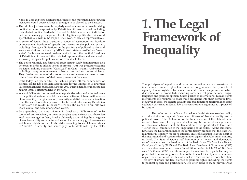rights to vote and to be elected to the Knesset, and more than half of Jewish teenagers would deprive Arabs of the right to be elected to the Knesset.

- The criminal justice system is regularly used as a means of delegitimizing political acts and expression by Palestinian citizens of Israel, including their elected political leadership. Several Arab MKs have been indicted or had parliamentary privileges revoked for legitimate political activities and speech that falls within the scope of their work as elected representatives.
- A series of Israeli laws institute a range of restrictions on freedom of movement, freedom of speech, and access to the political system, including ideological limitations on the platforms of political parties and severe restrictions on travel by MKs to Arab states classified as "enemy states". Such laws are used predominantly to curb the political freedoms of Palestinian citizens and their elected representatives and are steadily shrinking the space for political action available to them.
- The police routinely use force and arrest against Arab demonstrators as a deterrent in order to silence voices of protest. Anti-war protestors against the Israeli military operation "Cast Lead" in Gaza—mainly Arab citizens, including many minors—were subjected to serious police violence. They further encountered disproportionate and systematic mass arrests, primarily on the pretext of their mere presence at the scene.
- Until today, ten years after the fact, no police officer, commander or political leader has been held accountable for the killings of 13 unarmed Palestinian citizens of Israel in October 2000 during demonstrations staged against Israel's brutal policies in the OPT.
- Years of deliberate discrimination, unequal citizenship and a limited voice in the political system have left Palestinian citizens of Israel with a sense of vulnerability, marginalization, insecurity, and distrust of and alienation from the state. Consistently lower voter turn-out rates among Palestinian citizens are one result: in the 2009 elections, the voter turn-out rate was 64.7% overall and 53% among Arab voters.
- By approaching the Arab minority in Israel as a "fifth column" to be controlled and contained, at times employing state violence and draconian legal measures against them, Israel is ultimately undermining the emergence of genuine stability and a culture of respect for democracy, good governance and human rights norms. It also risks relegating issues of human rights to "threats" to security and sovereignty, to be dealt with by the state.

# **1. The Legal Framework of Inequality**

The principles of equality and non-discrimination are a cornerstone of international human rights law. In order to guarantee the principle of equality, human rights instruments enumerate numerous grounds on which discrimination is prohibited, including race, sex, religion, national origin, language and political opinion. States parties to international human rights instruments are required to enact these provisions into their domestic laws. However, in Israel the right to equality and freedom from discrimination is not explicitly enshrined in Israeli law as a constitutional right; nor is it protected by statute.

 The definition of the State of Israel as a Jewish state makes inequality and discrimination against Palestinian citizens of Israel a reality and a political project. The Declaration of the Independence of the State of Israel includes two principles key to understanding the second-class legal status of Palestinian citizens. First, the Declaration refers specifically to Israel as a "Jewish State" committed to the "ingathering of the exiles." At the same time, however, the Declaration makes the contradictory promise that the state will maintain full equality for all its citizens. This contradiction is at the heart of the institutional and systemic discrimination against the Palestinian minority in Israel. The State of Israel's self-definition as a "Jewish and democratic state" has since been declared in two of the Basic Laws: *The Basic Law: Human Dignity and Liberty (1992)* and The Basic Law: Freedom of Occupation (1992) and its subsequent amendments. In addition, under Article 7A of *The Basic Law: The Knesset (1958)* and its subsequent amendments, a party list may be prevented from running for election to the Knesset if its objectives or actions negate the existence of the State of Israel as a "Jewish and democratic" state. This law obstructs the free exercise of political rights, including the rights to political speech and participation. It is often used to try to prevent Arab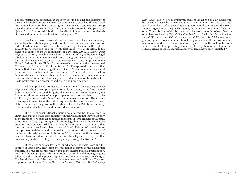political parties and parliamentarians from seeking to alter the character of the state through democratic means, for example, to a state based on full civil and national equality that does not grant preference to one national group over the other, and even to block debate on such proposals. The pairing of "Jewish" and "democratic" both codifies discrimination against non-Jewish citizens and impedes the realization of full equality.10

 Israel lacks a written constitution or a Basic Law that constitutionally guarantees the right to equality and prohibits discrimination, either direct or indirect. While several ordinary statutes provide protection for the right of equality for women and for people with disabilities, $11$  no statute relates to the right to equality for the Arab minority in particular. *The Basic Law: Human Dignity and Liberty*, which is considered a mini-bill of rights by Israeli legal scholars, does not enumerate a right to equality; on the contrary, this Basic Law emphasizes the character of the state as a Jewish state.<sup>12</sup> In July 2010, the United Nations Human Rights Committee (which monitors the International Covenant on Civil and Political Rights, or ICCPR) expressed its concern that Israel's Basic Law: Human Dignity and Liberty, "does not contain a general provision for equality and non-discrimination," and called on Israel to "amend its Basic Laws and other legislation to include the principle of nondiscrimination and ensure that allegations of discrimination brought before its domestic courts are promptly addressed and implemented."13

 While Supreme Court justices have interpreted *The Basic Law: Human Dignity and Liberty* as comprising the principle of equality,<sup>14</sup> this fundamental right is currently protected by judicial interpretation alone. However, the fundamental importance of the principle of equality requires that it be explicitly guaranteed in the Basic Laws or a written constitution. The absence of an explicit guarantee of the right to equality in the Basic Laws or ordinary statutes diminishes the power of this right and leaves the Palestinian minority in Israel vulnerable to direct and indirect discrimination.

 The current constitutional situation has allowed the State of Israel to enact laws that are either discriminatory on their face, in that they relate only to the rights of Jews in Israel or abridge the rights of Arab citizens of the state, or use neutral language and general terminology but have a discriminatory effect on Arab citizens. Adalah has identified more than 30 main laws that discriminate against Palestinian citizens of Israel. This list of laws includes only primary legislation and is not exhaustive; indeed, since the election of the Netanyahu administration in February 2009, members of the government coalition have introduced a raft of discriminatory legislative proposals that are currently at different stages in their passage through the Knesset.15

 These discriminatory laws are found among the Basic Laws and the sources of Israeli law. They limit the full gamut of rights of the Palestinian minority in Israel, from citizenship rights to the right to political participation, land and housing rights, education rights, cultural and language rights, religious rights, and due process rights during detention on security charges. The Jewish character of the state is evident in numerous Israeli laws. The most important immigration laws—*The Law of Return (1950)*, and *The Citizenship* 

*Law (1952)*—allow Jews to immigrate freely to Israel and to gain citizenship, but exclude Arabs who were forced to flee their homes in 1947-1952 and 1967. Israeli law also confers special quasi-governmental standing on the World Zionist Organization, the Jewish Agency, the Jewish National Fund (JNF) and other Zionist bodies, which by their own charters cater only to Jews. Various other laws such as *The Chief Rabbinate of Israel Law (1980)*, *The Flag and Emblem Law (1949)*, and *The State Education Law (1953)* and its 2000 amendment give recognition to Jewish educational, religious, and cultural practices and institutions, and define their aims and objectives strictly in Jewish terms, while no similar laws providing similar legal recognition to the religious and cultural rights of the Palestinian minority in Israel have been legislated.16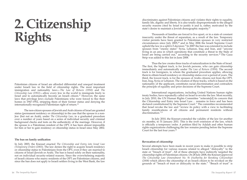# **2. Citizenship Rights**

Palestinian citizens of Israel are afforded differential and unequal treatment under Israeli law in the field of citizenship rights. The most important immigration and nationality laws—*The Law of Return (1950)* and *The Citizenship Law (1952)*—allow every Jew in the world to immigrate freely to Israel and to automatically become an Israeli citizen.17 However, the same laws that privilege Jews exclude Palestinians who were forced to flee their homes in 1947-1952, stripping them of their former status and denying the internationally-recognized Palestinian right of return.<sup>18</sup>

 The non-citizen spouses of Jewish and Arab citizens of Israel are granted status (permanent residency or citizenship) in the case that the spouse is a non-Jew (but not an Arab), under *The Citizenship Law*, in a graduated procedure over a number of years based on a series of individual security and criminal background checks and tests on the authenticity of the marriage. However, if the spouse is a Palestinian resident of the OPT, it has been almost impossible for him or her to gain residency or citizenship status in Israel since May 2002.

#### **The ban on family unification**

In July 2003, the Knesset enacted *The Citizenship and Entry into Israel Law (Temporary Order) (2003)*. The law denies the right to acquire Israeli residency or citizenship status to Palestinians from the OPT, even if they are married to citizens of Israel (Jewish or Arab). The ban is based solely on their nationality, not on individual security-related reasons. Since the overwhelming majority of Israeli citizens who marry residents of the OPT are Palestinian citizens, and since the ban does not apply to Israeli settlers living in the West Bank, the law discriminates against Palestinian citizens and violates their rights to equality, family life, dignity and liberty. It is also totally disproportionate to the alleged security reasons cited by Israel to justify it and is, rather, motivated by the state's desire to maintain a Jewish demographic majority.19

 Thousands of families are forced to live apart, or in a state of constant insecurity under the threat of separation, as a result of the law. Temporary visitor permits have been granted to Palestinian spouses in very restricted circumstances since July 2005,20 and in May 2006 the Israeli Supreme Court upheld the law in a split 6-5 decision.<sup>21</sup> In 2007 the ban was extended to include spouses from "enemy states" Syria, Lebanon, Iraq and Iran, and "anyone living in an area in which operations that constitute a threat to the State of Israel are being carried out, $\overline{a}$  according to the security services.<sup>22</sup> The Gaza Strip was added to this list in June 2008.

 Thus the law creates three tracks of naturalization in the State of Israel. The first, the highest track, is for Jewish persons, who can gain citizenship immediately and automatically under *The Law of Return (1950)*. The second track is for foreigners, to whom the graduated procedure applies, allowing them to obtain Israeli residency or citizenship status over a period of years. The third, the lowest track, is for the spouses of Arabs citizens not from the OPT, Iran, Iraq, Syria or Lebanon. The creation of these tracks, which is based on the nationality of the applicant, constitutes racial discrimination and contradicts the principle of equality and prior decisions of the Supreme Court.

 International organizations, including United Nations human rights treaty bodies, have repeatedly called on Israel to revoke the law. Most recently, in July 2010, the UN Human Rights Committee "reiterate[d] its concern that the Citizenship and Entry into Israel Law… remains in force and has been declared constitutional by the Supreme Court." The committee recommended that Israel revoke the law and "review its policy with a view to facilitating family reunifications of all citizens and permanent residents without discrimination."23

 In July 2010, the Knesset extended the validity of the law for another six months, to 31 January 2011. This is the *tenth* extension of the law, which is officially a temporary order. A petition filed by Adalah and other human rights organizations challenging the law remains pending before the Supreme Court for the last four years.<sup>24</sup>

#### **Revocation of citizenship**

Several attempts have been made in recent years to make it possible to strip Israeli citizenship for various reasons related to alleged "disloyalty" to the state or "breach of trust". All of these attempts have indirectly targeted the citizenship rights of Palestinian citizens. On 28 July 2008, the Knesset approved *The Citizenship Law (Amendment No. 9) (Authority for Revoking Citizenship) (2008)* which allows the citizenship of an Israeli citizen to be revoked on the grounds of "breach of trust or disloyalty to the state." "Breach of trust" is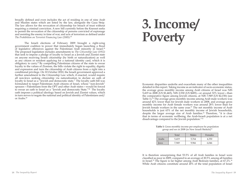broadly defined and even includes the act of residing in one of nine Arab and Muslim states which are listed by the law, alongside the Gaza Strip. The law allows for the revocation of citizenship for breach of trust without requiring a criminal conviction. A new bill currently before the Knesset seeks to permit the revocation of the citizenship of persons convicted of espionage and assisting the enemy in time of war, and acts of terrorism as defined under *The Prohibition on Terrorist Financing Law (2005).*<sup>25</sup>

 The Israeli elections of February 2009 brought a right-wing government coalition to power that immediately began launching a flood of legislative offensives against the Palestinian Arab minority in Israel.26 The proposed legislation includes amendments to *The Citizenship Law (1952)* that seek to impose a pledge of loyalty to Israel as a Jewish and Zionist state on anyone receiving Israeli citizenship (by birth or naturalization) as well as any citizen or resident applying for a national identity card, which it is obligatory to carry.27 By compelling Palestinian citizens of the state to swear loyalty to the values of Zionism, the bills violate the right to equality, dignity and expression and turn the citizenship of Arab citizens from a right into a conditional privilege. On 10 October 2010, the Israeli government approved a further amendment to the Citizenship Law which, if enacted, would require all non-Jews seeking citizenship via naturalization to declare an oath of loyalty to Israel as a "Jewish and democratic state." The loyalty oath bill was formulated to target Palestinian Arab citizens of Israel, whose "non-Jewish" spouses—Palestinians from the OPT and other Arab states—would be forced to swear an oath to Israel as a "Jewish and democratic State."28 The loyalty oath imposes a political ideology based on Jewish and Zionist values, which in turn serves to negate the national and political identity of Palestinians and/ or Arabs.29

# **3. Income/ Poverty**

Economic disparities underlie and exacerbate many of the other inequalities detailed in this report. Taking income as an indicator of socio-economic status, the average gross monthly income among Arab citizens of Israel was NIS 5,419 in 2008 (US \$1,465), NIS 2,530 (US \$685)—or around 32% lower—than the comparative figure among Jewish citizens, at NIS 7,949 (US \$2,150) (see Table 1).<sup>30</sup> The average gross monthly income among Arab male workers was around 42% lower than for Jewish male workers in 2008, and average gross monthly income for Arab female workers was around 28% lower than for Jewish female workers in the same year.31 The net monthly income of Arab households is just 63% of the net monthly income of Jewish households, despite the larger average size of Arab families.<sup>32</sup> Therefore, "it is clear that in terms of economic wellbeing, the Arab-Israeli population is at a net disadvantage compared to the Jewish population."33

> **Table 1**: Gross monthly income per employee by population group and sex in 2008 (in New Israeli Shekels)<sup>34</sup>

|       | Total | Males | Females |
|-------|-------|-------|---------|
| Arabs | 5.419 | 5,764 | 4.350   |
| Jews  | 7.949 | 9,966 | 6,046   |

It is therefore unsurprising that 53.5% of all Arab families in Israel were classified as poor in 2009, compared to an average of 20.5% among all families in Israel.<sup>35</sup> The figure is far higher among Arab Bedouin families, at 67.2%.<sup>36</sup> While Arab citizens constitute around 20% of the total population of Israel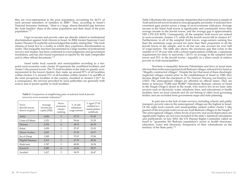they are over-represented in the poor population, accounting for 44.5% of such persons (members of families) in 2008.<sup>37</sup> Thus, according to Israel's National Insurance Institute, "there is a large, almost threefold gap between the Arab families' share of the entire population and their share of the poor population."38

 Gaps in income and poverty rates are directly related to institutional discrimination against Arab citizens in Israel. In 2004, former Supreme Court Justice Theodor Or explicitly acknowledged this reality, stating that, "The Arab citizens of Israel live in a reality in which they experience discrimination as Arabs. This inequality has been documented in a large number of professional surveys and studies, has been confirmed in court judgments and government resolutions, and has also found expression in reports by the state comptroller and in other official documents."<sup>39</sup>

 Israel ranks local councils and municipalities according to a tenpoint socio-economic scale: cluster 10 represents the wealthiest localities, and cluster 1 the poorest towns. The 75 Arab localities in the state are greatly overrepresented in the lowest clusters: they make up around 87% of all localities within clusters 1-3, around 72% of all localities within clusters 1-4, and **0%** of the most prosperous localities in the country, classified in clusters 7-10.40 As a consequence, the services provided by local authorities are generally both scarcer and of poorer quality in Arab localities.

| <b>Table 2</b> : Comparison of neighboring pairs of selected Arab & Jewish |  |
|----------------------------------------------------------------------------|--|
| towns by socio-economic indicators <sup>41</sup>                           |  |

| Town<br>(Jewish towns<br>shown in grey) | Average<br>income per<br>capita (NIS) | Socio-<br>economic<br>cluster<br>ranking | $%$ of sub-<br>minimum<br>wage-earners | % aged 17-18<br>entitled to a<br>matriculation<br>certificate |
|-----------------------------------------|---------------------------------------|------------------------------------------|----------------------------------------|---------------------------------------------------------------|
| Afula                                   | 2,626                                 | 5                                        | 47.13                                  | 51.45                                                         |
| Umm el Fahem                            | 1,321                                 | $\overline{2}$                           | 58.64                                  | 33.29                                                         |
| Dimona                                  | 2,530                                 | $\overline{4}$                           | 48.53                                  | 46.35                                                         |
| Rahat                                   | 1,059                                 | 1                                        | 57.07                                  | 23.92                                                         |
| Zikron Ya'akov                          | 3,823                                 | 7                                        | 37.59                                  | 54.77                                                         |
| Jisr el-Zarqa                           | 1,300                                 | $\overline{2}$                           | 57.67                                  | 15.96                                                         |
| Migdal Haemeq                           | 2,313                                 | 5                                        | 47.70                                  | 49.34                                                         |
| Shafa'amr                               | 1,747                                 | 3                                        | 48.88                                  | 34.94                                                         |
| Karmi'el                                | 2,980                                 | 6                                        | 42.30                                  | 58.57                                                         |
| Arrabeh                                 | 1,417                                 | $\overline{2}$                           | 54.55                                  | 24.47                                                         |

Table 2 illustrates the socio-economic disparities that exist between a sample of Arab and Jewish towns located in close geographic proximity. It indicates how consistent gaps persist across a range of socio-economic indicators. Average income in the listed Arab towns is significantly and consistently lower than average income in the Jewish towns, and the average gap is approximately NIS 1,370 (US \$370). Consequently, all the sampled Arab towns are ranked in socio-economic clusters 1-3, while all the Jewish towns fall in clusters 4-7. Furthermore, in all of the sampled Arab towns, wage-earners earning less than the minimum wage account for more than their proportion in all the Jewish towns in the sample, and in all but one case account for over half of wage-earners. The table also shows the enormous gap that exists in the number of 17-18 year olds with a school matriculation certificate, a minimum requirement for entry to university—26.5% on average in the sampled Arab towns and 52% in the Jewish towns—arguably as a direct result of relative poverty in Arab municipalities.

 Nowhere is inequality between Palestinians and Jews in Israel more obvious than in the unrecognized Arab Bedouin villages, referred to by Israel as "illegally constructed villages". Despite the fact that most of these shockingly neglected villages existed prior to the establishment of Israel in 1948, they became illegal with the enactment of *The National Planning and Building Law (1965)*. The unrecognized villages are afforded no official status. They are home to between  $\frac{75,000}{90,000^{42}}$  Palestinian Bedouin citizens of Israel in the Naqab (Negev) desert in the south, who receive few-to-no basic state services such as electricity, water, telephone lines, and educational or health facilities; have no local councils and do not belong to other local governing bodies; and are excluded from government maps and state planning.

 In part due to the lack of state services, including schools and public transport, poverty rates in the unrecognized villages are the highest in Israel. Of the eight local councils and municipalities ranked within cluster 1 (the poorest of the ten-point scale) seven are Arab Bedouin villages in the Naqab.<sup>43</sup> The unrecognized villages, where levels of poverty and social deprivation are significantly higher, are not even included in the state's statistical calculations and publications. In July 2010, the UN Human Rights Committee called on Israel to "guarantee the Bedouin population's access to health structures, education, water and electricity, irrespective of their whereabouts on the territory of the State party."44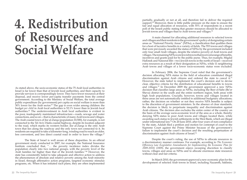### **4. Redistribution of Resources and Social Welfare**

As stated above, the socio-economic status of the 75 Arab local authorities in Israel is far lower than that of Jewish local authorities, and their capacity to provide services is correspondingly lower. They have fewer resources at their disposal, and receive lower per-capita transfer payments from the central government. According to the Ministry of Social Welfare, the total average public expenditure (by government) per capita on social welfare is more than 30% lower for the Arab sector.45 The gap is even wider among children: the budget *per child* in Arab local authorities is 52.1% lower than in Jewish local authorities.46 The underinvestment in Arab local authorities is evident in the poor, inadequately maintained infrastructure—roads, sewage and water connections, and so on—that is characteristic of many Arab towns and villages. The Arab coastal town of Jisr al-Zarqa (population 10,500), for example, is not connected to the Tel Aviv-Haifa coastal highway, despite its location adjacent to the road, which marks its western border. Just al-Zarqa is the only Arab town that lies along the roadway and the only town not connected to it. Its residents are required to take a kilometer-long, winding road to reach an older, less convenient, and less direct coastal road in order to leave the village.<sup>47</sup>

 The State of Israel is well aware of these disparities. In an official government study conducted in 2007, for example, the National Insurance Institute concluded that, "… the poverty incidence index divides the population clearly into two national groups, with the poverty level of the Arab families far higher than that of the Jewish families."48 However, the state has consistently failed to take adequate and effective action to address the phenomenon of absolute and relative poverty among the Arab minority in Israel, through affirmative action programs, targeted economic stimulus programs, etc. When it has initiated such plans, they are often implemented

partially, gradually or not at all, and therefore fail to deliver the required support.<sup>49</sup> Moreover, there is little public pressure on the state to ensure the fair and equal allocation of resources, with 55% of respondents in a recent poll of the Israeli public stating that greater resources should be allocated to Jewish towns and villages than to Arab towns and villages.<sup>50</sup>

 A main channel for allocating additional resources to selected towns and villages and their residents is the government's policy of designating certain areas as "National Priority Areas" (NPAs), a classification that qualifies them for a host of lucrative benefits in a variety of fields. The 553 towns and villages that were previously awarded the status of NPAs by the government included only four small Arab villages, despite the relative poverty of Arab towns and villages. The remaining NPAs were Jewish towns that received a range of benefits, incentives and grants paid for by the public purse. Thus, for example, Migdal HaEmek and Natzerat Illit—two Jewish towns in the north of Israel—received extra resources as a result of their designation as NPAs, while 11 neighboring Arab towns and villages of a lower socio-economic status were excluded.

 In February 2006, the Supreme Court ruled that the government's decision allocating NPA status in the field of education constituted illegal discrimination against Arab citizens and ordered the state to cancel it.<sup>51</sup> However, the state failed to implement the court's decision and to devise clear, objective criteria for the distribution of educational benefits to towns and villages.52 In December 2009 the government approved a new NPAs decision that classifies large areas as NPAs, including the Beer el-Sabe (Be'er Sheva) district in the south and the entire northern region, both areas with high Arab populations. Crucially, however, towns and villages located in these areas are not automatically entitled to additional budgetary allocations; rather, the decision on whether or not they receive NPA benefits is subject to the discretion of government ministers. In the absence of clear standards, the decision is likely to perpetuate inequality and discrimination against Arab citizens. The decision also excludes the entire center of the country on the basis of the average socio-economic level of the area as a whole, thereby denying NPA status to poor Arab towns and villages located there, while awarding such status to Jewish settlements in the West Bank, which are illegal under international law.53 On 20 June 2010, after four years of non-compliance by the state, Adalah filed a petition and motion for contempt of court to the Supreme Court against the Prime Minister because of the government's failure to implement the court's decision and the resulting perpetuation of discrimination against Arab citizens of Israel.<sup>54</sup>

 Despite the court's ruling, the use of NPAs to allocate resources in a discriminatory manner continues. For example, according to *The Economic Efficiency Law (Legislative Amendments for Implementing the Economic Plan for 2009-2010) (2009),* the government enjoys sweeping discretion to classify towns, villages and areas as NPAs and to allocate enormous state resources without clear and fair criteria.

 In March 2010, the government approved a new economic plan for the development of selected Arab towns in Israel, including Nazareth, Sakhnin,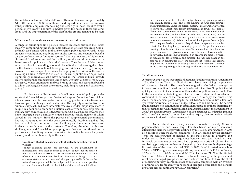Umm el-Fahem, Tira and Daliat al-Carmel. The new plan, worth approximately NIS 800 million (US \$214 million), is designed, inter alia, to improve transportation, employment, housing and security in these localities over a period of five years.55 The sum is modest given the needs in these and other areas, and the implementation of the plan on the ground remains to be seen.

#### **Military and national service as a means of discrimination**

A range of public spending policies initiated by Israel privilege the Jewish majority, compounding the inequitable allocation of state resources. One of the main tools employed by the state to channel public funds towards Jewish citizens is conditioning eligibility for public services and economic benefits on the performance of "military service." The vast majority of Palestinian citizens of Israel are exempted from military service and do not serve in the Israeli army, for political and historical reasons. Thus the use of this criterion as a condition for awarding economic benefits discriminates against them on the basis of their national belonging and violates their right to equal enjoyment of various public services. By employing this criterion, the state is violating its duty to serve as a trustee for the entire public on an equal basis. Significantly, individuals who have served in the Israeli military already receive substantial compensation under *The Absorption of Discharged Soldiers Law (1994),* which enumerates the broad range of social and economic benefits to which discharged soldiers are entitled, including housing and educational grants.<sup>56</sup>

 For instance, a discriminatory Israeli governmental policy provides substantial financial support or "extended support"—in the form of lowinterest governmental loans—for home mortgages to Israeli citizens who have completed military or national service. The majority of Arab citizens are automatically excluded from these state resources. Under this policy, a married couple in a poor socio-economic situation, each of whom has completed full military service, receives NIS 124,500 (around US \$30,000) more towards their home mortgage than a similarly-situated married couple neither of whom served in the military. Since the purpose of supplemental governmental housing support is to help the socio-economically disadvantaged to find housing solutions, the performance of military service is an arbitrary and irrelevant consideration in this instance. Therefore, the effect of this and similar grants and financial support programs that are conditioned on the performance of military service is to widen inequality between the Jewish majority and the Arab minority in the state.<sup>57</sup>

#### **Case Study: Budget-balancing grants allocated to Jewish towns and villages**

"Budget-balancing grants" are provided by the government to municipalities and local councils to reduce budget deficits created when expenditure on essential services exceeds income, with the aim of securing a minimal reasonable level of services. Although the socioeconomic status of Arab towns and villages is generally far below the national average, and while the budget deficits of Arab municipalities account for around 45% of the total deficits of all municipalities,

the equation used to calculate budget-balancing grants provides substantially fewer points, and hence funding, to Arab local councils and municipalities. Under the current system, extra grants are awarded to towns that absorb new Jewish immigrants, to towns classified as "front line" communities (only Jewish towns in the north and Jewish settlements in the OPT have been awarded this classification), and to towns considered "socially diverse" (which rules out Arab towns, since most are homogeneous). Adalah petitioned the Supreme Court in July 2001 to request the determination of equal, clear, transparent and unified criteria for allocating budget-balancing grants.<sup>58</sup> The petition remains pending before the court nine years later.59 In the meantime, these lucrative grants continue to be given almost exclusively to Jewish communities. In July 2010, the Supreme Court issued an order to the state to provide an update on developments, and stressed the fact that although the case has been pending for years, the state has yet to issue clear criteria to govern the distribution of these grants. Adalah submitted a motion to the court requesting a final ruling on the case in November 2010.

#### **Taxation policies**

A further example of the inequitable allocation of public resources is Amendment 146 to the Income Tax Act, a discriminatory clause determining the provision of income tax benefits. The amendment originally afforded tax exemptions to Israeli communities located on the border with the Gaza Strip, but the list quickly expanded to include communities added for political reasons only. Due to the lack of clear criteria to govern the provision of significant tax rebates to communities, not one of the communities selected to enjoy the benefits was Arab. The amendment passed despite the fact that Arab communities suffer from systematic discrimination in state budget allocations and are among the poorest and most neglected communities in Israel. In response to petitions submitted by the Association for Civil Rights in Israel and Adalah against the amendment in  $2005<sup>60</sup>$  the Israeli Supreme Court decided on 15 September 2010 that the granting of tax benefits to several communities without equal, clear and written criteria was unconstitutional and discriminatory.<sup>61</sup>

 Overall, direct state policy measures to reduce poverty (transfer payments/benefits and taxes) target Jewish citizens far more than Arab citizens: the incidence of poverty declined by just 13.5% among Arabs in 2008 as a result of such measures, compared to  $46.2\%$  among Jewish citizens.<sup>62</sup> Thus the redistribution of income by the state serves to preserve and widen, rather than narrow, inequalities between Arab and Jewish citizens. In Israel, government expenditure has a particularly critical role to play in combating poverty and redressing inequality, given the very high percentage it constitutes of the country's total GDP. In 2003, Israel invested as much as 52.4% of GDP on government expenditure, compared with 48.1% in France, 37.2% in Sweden, 36.8% in Finland, 32.8% in Germany, 21.0% in the United States and 18.4% in Canada.<sup>63</sup> However, by not focusing on the poorest and most disadvantaged groups within society, taxes and benefits have the effect of reducing poverty overall in Israel by just 25%, compared with an average of around 60% (compared with household incomes before taxes and benefits are taken into account) among OECD countries.64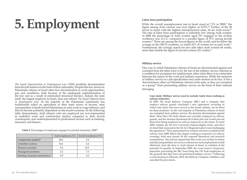# **5. Employment**

*The Equal Opportunities in Employment Law (1988)* prohibits discrimination between job-seekers on the basis of their nationality. Despite this law, however, Palestinian citizens of Israel often face discrimination in work opportunities, pay and conditions, both because of the inadequate implementation of the law and as a result of entrenched structural barriers. Indeed, the state itself, the largest employer in Israel, does not enforce *The Equal Opportunities in Employment Law.* As the majority of the Palestinian community has traditionally relied on agriculture as their main source of income, state expropriation of lands forced Palestinians to seek work as wage-laborers, and thus to become primarily dependent on the Israeli economy. As the following table demonstrates, Arab citizens who are employed are over-represented in unskilled work and construction (males) compared to their Jewish counterparts, and underrepresented in professional sectors such as banking, insurance and finance.

| Table 3: Percentages of employees engaged in selected industries, 2008 <sup>65</sup> |  |
|--------------------------------------------------------------------------------------|--|
|--------------------------------------------------------------------------------------|--|

|                                    | Arab employees (%) | Jewish employees (%) |
|------------------------------------|--------------------|----------------------|
| Construction (males) <sup>66</sup> | 28.4               | 5.4                  |
| Unskilled workers                  | 14.6               | 6.4                  |
| <b>Business activities</b>         | 5.6                | 14.3                 |
| Managerial positions               | 2.3                | 73                   |
| Banking, insurance and finance     | 0.8                |                      |

#### **Labor force participation**

While the overall unemployment rate in Israel stood at  $7.3\%$  in  $2008<sup>67</sup>$  the figure among Arab citizens was even higher, at 10.9%.<sup>68</sup> Further, of the 40 towns in Israel with the highest unemployment rates, 36 are Arab towns.<sup>69</sup> The rate of labor force participation is extremely low among Arab women: in 2008 the percentage of Arab women aged 15+ engaged in the civilian workforce was 21.1%, compared to a parallel figure of 57% among Jewish women.67 These are among the lowest figures in the world, and far below the average in the OECD countries, in which  $62\%$  of women are in paid work.<sup>71</sup> Furthermore, the average search for new jobs takes Arab women 64 weeks, more than double the figure for Jewish women (31 weeks).<sup>72</sup>

#### **Military service**

One way in which Palestinian citizens of Israel are discriminated against and excluded from the labor force is by the use of the military service criterion as a condition for acceptance for employment, often when there is no connection between the nature of the work and military experience. While the inclusion of military service in a job specification may seem neutral on its face, it has a discriminatory effect on Palestinian citizens of the state, as they are exempted as a group73 from performing military service on the basis of their national belonging

#### **Case study: Military service used to exclude Arabs from working as railway inspectors**

In 2009, the Israel Railway Company (IRC) and a company that employs railway guards concluded a new agreement, according to which only those who have served in the Israeli military can be hired for these positions. As the vast majority of Palestinian citizens of Israel are exempted from military service, the decision discriminates against them. More than 130 Arab citizens are currently employed as railway guards, and the decision threatened all of their jobs and would prevent them from being employed as railway inspectors in the future. In April 2009, Adalah, the Tel Aviv University Human Rights Clinic, and Sawt el-Amel filed a lawsuit to the Tel Aviv Regional Labor Court challenging the agreement.74 They represented two workers who have worked for the railway since 2008. Before they began working as inspectors on railway crossings, both men passed all the required theoretical and practical examinations. The lawsuit argued that this work was civilian in nature and that using military service as a criterion for such employment would effectively close the door to Arab citizens of Israel, in violation of the principle of equality. In September 2009, the court issued a temporary injunction preventing the IRC from firing the 130 Arab employees on the grounds that they have not performed military service.75 Following a court hearing in February 2010, the Railway Company withdrew and cancelled the provisions.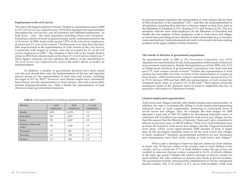#### **Employment in the civil service**

The state is the largest employer in Israel. Despite an amendment made in 2000 to *The Civil Service Law (Appointments) (1959)* that stipulates fair representation throughout the civil service, and all ministries and affiliated institutions, "to both sexes… and… the Arab population including Druze and Circassian," Palestinian citizens of Israel in general remain sorely underrepresented in the civil service. In 2006, Arabs made up just 5.92% of all civil service employees, of whom just 2% were Arab women.<sup>76</sup> Furthermore, over time there has been little improvement in the representation of Arab citizens in the civil service, in particular with respect to women, who also accounted for 2% of all civil service employees in 2001.77 The situation is direr still in the Naqab district, where in 2010 Arab citizens made up less than 1% of civil service employees.<sup>78</sup> These figures seriously call into question the efficacy of the amendment to *The Civil Service Law (Appointments)* and/or the state's efforts to further its implementation.

 In addition, a number of government decisions have been issued over the past decade that order the implementation of the law and stipulate interim quotas for the representation of Arab men and women, including the target of 10% by 2010.79 However, such interim targets have consistently been missed, and the representation of Arab citizens, men and women alike, remains disproportionately low. Table 4 details the representation of Arab citizens in major governmental ministries.

| Ministry                     | Arab<br>employees | Total<br>employees | % Arab<br>employees |
|------------------------------|-------------------|--------------------|---------------------|
| Health                       | 1,935             | 26,753             | 7.2                 |
| Education                    | 126               | 2,031              | 6.2                 |
| <b>Justice</b>               | 99                | 2,497              | 3.9                 |
| Industry, Trade and<br>Labor | 45                | 1,326              | 3.4                 |
| Transport                    | 21                | 881                | 2.3                 |
| Housing                      | 10                | 730                | 1.3                 |
| Finance                      | 12                | 954                | 1.2                 |

Table 4: Arab representation in Israeli government ministries, 2006<sup>80</sup>

In most government ministries, the representation of Arab citizens falls far short of their proportion of the population—20%—and they are underrepresented in all ministries, including those that have a decisive impact on their lives, such as the Ministries of Transport (2.3%), Housing (1.3%) and Finance (1.2%). The two ministries with the most Arab employees are the Ministries of Education and Health; the vast majority of these employees work in Arab towns and villages or mixed cities providing services directly to Arab communities (e.g. as teachers, nurses and doctors). Arab professionals are rarely to be found in decision-making positions in the upper echelons of these ministries.

#### **The boards of directors of government corporations**

An amendment made in 2000 to *The Government Corporations Law (1975)* stipulates fair representation for the Arab population on the boards of directors of government corporations. Despite this legislation, as of July 2009, only 5.2% of sitting board members of governmental corporations were Arab men and just 2.7% Arab women citizens of Israel.81 Further, the representation of Arab citizens has risen little over time. In terms of the representation of women on these boards, while Israeli Jewish women's representation increased from 7% to 37.6% between 1994 and July 2009, the representation of Arab women has remained nearly static, at around  $1-2\%$  of the total.<sup>82</sup> These figures reveal the inadequate nature of the measures taken by Israel to implement this law, in particular with respect to Palestinian women.

#### **Limited employment opportunities**

Arab towns and villages typically offer limited employment opportunities. In addition, the state is systematically failing to locate employment-generating industrial zones in Arab communities, preferring to concentrate them in Jewish towns and villages. Thus, for example, the state budget for 2008 allocated a total sum of NIS 215 million for developing industrial zones, of which just NIS 10 million was earmarked for Arab towns and villages, far less than the amount that the Ministry of Industry, Trade and Labor committed to allocate in previous years, at NIS 25 million.<sup>83</sup> Only 2.4% of all industrial zones in Israel are located in Arab towns and villages, and the Tzipporit Industrial Zone alone, which covers approximately 6,000 dunams of land, is larger than all the developed industrial zones in all the Arab towns and villages in Israel combined. $84$  Similarly, governmental incentives for new businesses and entrepreneurs have been sorely lacking in Arab towns and villages.<sup>85</sup>

 There is also a shortage of state-run daycare centers for Arab children in Israel: only 30 daycare centers in the country cater to Arab children in the country, and as a result just 3.7% of Arab children under the age of four are enrolled in state-run daycare centers, compared to 16.3% of Jewish children in the same age group. $86$  Despite the relative shortage of daycare centers for Arab children, the state continues to channel state funds to Jewish localities. The government recently announced the establishment of 150 new designated daycare centers, only 17 of which, or 11%, are in Arab localities, while Arab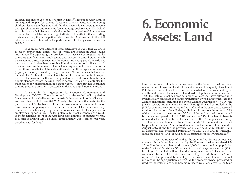children account for  $25\%$  of all children in Israel.<sup>87</sup> More poor Arab families are required to pay for private daycare and early education for young children, despite the fact that Arab families have a lower average income than Jewish families, and many are forced to forgo such services. The lack of suitable daycare facilities acts as a brake on the participation of Arab women in particular in the labor force: a rough indicator of this effect is that according to state statistics, the participation rate of married Arab women in the civil labor force stands at 14%, while the participation rate of single Arab women is 46.8%.88

 In addition, Arab citizens of Israel often have to travel long distances to reach employment offices, few of which are located in Arab towns and villages. $\frac{89}{9}$  Aggravating the problem is the absence of frequent public transportation from many Arab towns and villages to central cities, which makes it more difficult, particularly for women and young people who do not own cars, to work elsewhere. Most bus lines do not enter Arab villages at all, or enter them very infrequently. The lack of adequate public transportation is in part the responsibility of the state, as the major public transportation system (Egged) is majority-owned by the government. "Since the establishment of the state the Arab sector has suffered from a low level of public transport services. The reasons for this are many and varied, but probably indicate a double-standard toward the Arab sector in general, which is probably also the main reason for discrimination in transportation."90 State-funded vocational training programs are often inaccessible to the Arab population as a result.<sup>91</sup>

 As stated by the Organisation for Economic Co-operation and Development (OECD), "There is no doubt that the Arab-Israeli population faces many unique challenges in successfully integrating into Israeli society and realizing its full potential."92 Clearly, the barriers that exist to the participation of Arab citizens of Israel, and women in particular, in the labor force have a dampening effect on the performance of the Israeli economy as a whole. Israeli society in general is poorer as a result of inequalities in employment opportunities. The lost potential to Israel's economy as a result of the underemployment of the Arab labor force amounts, in monetary terms, to a total of around NIS 31 billion (approximately US\$ 8 billion) per year, based on data for 2006.<sup>93</sup>

### **6. Economic Assets: Land**

Land is the most valuable economic asset in the State of Israel, and also one of the most significant indicators and sources of inequality. Jewish and Palestinian citizens of Israel have unequal access to land resources, land rights, and the ability to use the resource of land to develop their communities. Since 1948, the State of Israel has enacted a series of laws that have allowed it to systematically confiscate and transfer Palestinian-owned land to the state and Zionist institutions, including the World Zionist Organization (WZO), the Jewish Agency, and the Jewish National Fund (JNF). Land controlled by the JNF, for example, constitutes around 13% of land in the state and is reserved for the exclusive use of Jews. Today, while Arab citizens constitute around 20% of the population of the state, only  $3-3.5\%$ <sup>94</sup> of the land in Israel is now owned by them, as compared to 48% in 1948. As much as **93%** of the land in Israel is now under the direct control of the state and of the JNF, a quasi-state entity. This land is officially referred to as "Israel lands." The remainder is owned by private Jewish and Arab individuals. A new land reform law, passed in August 2009, allows for the privatization of state-held land, including land in destroyed and evacuated Palestinian villages belonging to internallydisplaced persons (IDPs) as well as to Palestinian refugees living abroad.<sup>95</sup>

 A massive transfer of land to the state and to Zionist entities was executed through two laws enacted by the Knesset. Israel expropriated 1.2- 1.3 million dunams of land (1 dunam = 1,000m2) from the Arab population under *The Land Acquisition (Validation of Acts and Compensations) Law (1953)* for alleged "essential settlement and development needs." This land was confiscated from a total of 349 towns and villages, in addition to the "builtup areas" of approximately 68 villages, the precise area of which was not included in the expropriation orders.<sup>96</sup> All the property owned, possessed or used by the Palestinians who became refugees was transferred to the State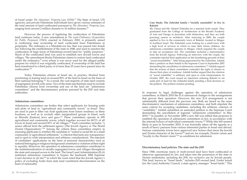of Israel under *The Absentees' Property Law (1950).97* The State of Israel, UN agencies, and private Palestinian individuals have given various estimates of the total amount of land confiscated pursuant to *The Absentees' Property Law*, ranging from around 2 million dunams to 16 million dunams.<sup>98</sup>

 However, the process of legalizing the confiscation of Palestinian land continues today. A new amendment to *The Land Ordinance (Acquisition for Public Purposes) (1943)*, enacted in February 2010, is primarily aimed at confirming state ownership of land confiscated from Palestinians in perpetuity. The ordinance is a Mandate-era law that was passed into Israeli law following the establishment of the state in 1948, and used to sanction the confiscation of large tracts of Palestinian-owned land for "public purposes." Much of the confiscated land was used to establish new Jewish towns and villages. The amendment blocks Palestinian claims to restore land confiscated under the ordinance, $99$  even where it was never used for the alleged public purpose for which it was originally confiscated, if ownership of the land has been transferred to a third party, or if more than 25 years have passed since its confiscation.100

 Today Palestinian citizens of Israel are, in practice, blocked from purchasing or leasing land on around 80% of the land in Israel on the basis of their national belonging.101 As a result, the vast majority of state land consists of segregated, Jewish-only areas. Two of the main mechanisms used to exclude Palestinian citizens from ownership and use of the land are "admissions committees" and the discriminatory policies pursued by the JNF and state authorities.

#### **Admissions committees**

Admissions committees are bodies that select applicants for housing units and plots of land in "agricultural and community towns" in Israel. They are used in part to filter out Arab applicants from future residency in these locations, as well as to exclude other marginalized groups in Israel, such as Mizrahi (Eastern) Jews and gays.102 These committees operate in 695 agricultural and community towns, which together account for 68.5% of all towns in Israel and around 85% of all villages.<sup>103</sup> Each committee includes "a senior official from the settlement agency (The Jewish Agency or The World Zionist Organization)."104 Among the criteria these committees employ in assessing applicants is whether the candidate is "suited to social life in a small community or agricultural settlement," a criterion that lacks any transparency and is open to wide interpretation and arbitrary considerations. The rejection of candidates' applications on the basis of personal characteristics such as national belonging or religious background constitutes a violation of their right to equality. Moreover, the operation of admissions committees contributes to the institutionalization of racially-segregated towns and villages throughout the state and unequal access to the land. The Israel Land Administration (ILA) instituted admissions committees to bypass the landmark 2000 Supreme Court decision in *Qa'dan*<sup>105</sup> in which the court ruled that the Jewish Agency's policy of excluding Arabs from state land constituted discrimination on the basis of nationality.

#### **Case Study: The Zubeidat family—"socially unsuitable" to live in Rakefet**

Ms. Fatina and Mr. Ahmed Zubeidat are a married Arab couple. They graduated from the College of Architecture at the Bezalel Academy of Arts and Design in Jerusalem with distinction, and they are both pursuing careers as architects. After marrying in 2006, the couple applied to live in the community town of Rakefet, located in Misgav in northern Israel. The Zubeidats were looking for a small town with a high level of services in which to raise their future children. An admissions committee operates in Misgav, which required the couple to take an acceptance test. The committee included a representative from the Jewish Agency. Following an interview with the couple, the committee rejected their application on the humiliating grounds of their "social unsuitability". After being approached by the Zubeidats, Adalah filed a petition on their behalf to the Supreme Court in September 2007 demanding the cancellation of admissions committees.106 Adalah argued that the actions of these committees contradict the right of citizens to choose their place of residence. Adalah further argued that the criterion of "social suitability" is arbitrary and open to wide interpretation. In October 2007, the court issued an injunction ordering Rakefet to set aside plot of land for the Zubeidat family pending a final decision on the petition. The petition remains pending.

In response to legal challenges against the operation of admissions committees, in March 2010 the ILA announced changes to the arrangements that govern their operation. However, the new ILA arrangement is not substantially different from the previous one. Both are based on the same discriminatory mechanism of admission committees, and both stipulate the same criteria for accepting candidates, including the arbitrary criterion of "suitability." Adalah submitted an amended petition to the Supreme Court demanding the cancellation of regional "admissions committees" in May 2010.107 In parallel, in November 2009 a new bill was tabled that proposes to establish the operation of admissions committees in law, in accordance with the internal bylaws of individual community towns.108 While this bill seemed likely to pass in November 2010, it was hurriedly taken off the agenda as a result of heavy pressure from various interested parties in Israel and abroad. Various community towns have approved new bylaws that stress the Jewish and Zionist character of the towns<sup>109</sup> and set, for example, Zionist values and "loyalty to the Zionist vision"110 as conditions for admission

#### **Discriminatory land policies: The state and the JNF**

Since 1948, enormous tracts of Arab-owned land have been confiscated or otherwise appropriated by law and taken into the possession of the state or Zionist institutions, including the JNF, for exclusive use by Jewish people. This land, known as "Israel lands," includes JNF-owned land. Under Israeli law the Land Authority Council, a state agency, manages "Israel lands." This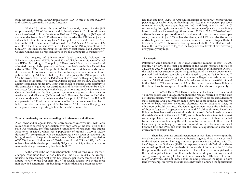body replaced the Israel Land Administration (ILA) in mid-November 2009111 and performs essentially the same functions.

 Of the 2.5 million dunams of land currently owned by the JNF (approximately 13% of the total land in Israel), close to 2 million dunams were transferred to it by the state in 1949 and 1953, giving the JNF special status under Israeli law.112 Furthermore, for decades the JNF has enjoyed a substantial role in formulating Israel's land policies over state land—93% of land in the state—since, in accordance with *The ILA Law (1960)*, around 50% of seats in the ILA Council have been allocated to the JNF representatives.113 Similarly, the final membership of the newly-established Land Authority Council will include six representative of the JNF among its 13 members.<sup>114</sup>

 The majority of JNF-controlled land previously belonged to Palestinian refugees and IDPs (around 25% of all Palestinian citizens of Israel are IDPs). According to ILA policy, JNF-controlled land is marketed and allocated through bids open only to Jews, completely excluding Palestinian citizens. The JNF's principles prohibit the allocation of rights to lands under its ownership to someone who is not a Jew. In response to a Supreme Court petition filed by Adalah to challenge the ILA's policy, the JNF argued that,  $A^*$ As the owner of JNF land, the JNF does not have to act with equality towards all citizens of the state."115 However, Adalah argued that the ILA, as a public agency established under law, is not authorized to pursue goals contrary to the principles of equality, just distribution and fairness and cannot be a subcontractor for discrimination on the basis of nationality. In 2005, the Attorney General decided that the ILA cannot discriminate against Arab citizens in marketing and allocating JNF-owned land. However, he also decided that when a non-Jewish citizen wins a tender for a plot of JNF land, the ILA will compensate the JNF with an equal amount of land, an arrangement that clearly fails to end discrimination against Arab citizens.116 The case challenging this arrangement remains pending before the Israeli Supreme Court.

#### **Population density and overcrowding in Arab towns and villages**

Arab towns and villages in Israel suffer from severe overcrowding, with Arab municipalities exercising jurisdiction over only 2.5% of the total area of the state. For example, the state-regulated jurisdiction of Nazareth (the largest Arab town in Israel), which has a population of around 70,000, is 16,000 dunams.117 A comparison with the neighboring Jewish town of Natzerat Illit brings the existing inequality into sharp relief: Natzerat Illit, with a population of 50,000, has jurisdiction over 40,000 dunams of land.118 Since 1948, the State of Israel has established approximately 600 Jewish municipalities, whereas no new Arab village, town or city has been built.<sup>119</sup>

 At the level of the individual household, Arab citizens live in far more cramped conditions than Jewish citizens of the state. In 2008, the average housing density among Arabs was 1.43 persons per room, compared to  $0.\overline{84}$ among Jews.<sup>120</sup> While over half  $(58.7%)$  of Jewish citizens live in the most non-crowded conditions—in dwellings with less than one person per roomless than one-fifth (18.1%) of Arabs live in similar conditions.121 Moreover, the percentage of Arabs living in dwellings with less than one person per room remained virtually unchanged between 2001 and 2008, at 18.3% and 18.1% respectively; during the same period, the percentage of Jewish citizens living in such dwellings increased significantly from 53.8% to 58.7%.122 26.6% of Arab citizens live in cramped conditions in dwellings with two or more persons per room, compared to just 3.6% of Jewish citizens, and 4.9% of Arab citizens live in dwellings with three or more persons per room, compared to just 0.4% of Jewish citizens.123 Furthermore, these figures exclude the Arab Bedouin who live in the unrecognized villages in the Naqab, where levels of overcrowding are typically very high.

#### **The Naqab**

Palestinian Arab Bedouin in the Naqab currently number at least 170,000 people,124 or **14%** of the total population of the Naqab, projected to rise to 320,000 by 2020.125 Of the 14,245,000 dunams of land in the Southern District, the total number currently under the jurisdiction of the seven governmentplanned Arab Bedouin townships in the Naqab is around  $76,800$  dunams,<sup>126</sup> and a further ten newly-recognized towns and villages have jurisdiction over a further 58,600 dunams,127 which combined account for a mere **0.9%** of land in the district.128 The vast majority of Arab Bedouin citizens of Israel living in the Naqab have been expelled from their ancestral lands, some repeatedly.

 Between 75,000 and 90,000 Arab Bedouin in the Naqab live in around 40 unrecognized Arab villages throughout the Naqab, referred to by the state as "illegal clusters."129 With no official status, these villages are excluded from state planning and government maps, have no local councils, and receive few-to-no basic services, including electricity, water, telephone lines, or education or health facilities. The Israeli government views the inhabitants of these villages as "trespassers on state land,"130 although many have been living on these lands—the ancestral lands of the Arab Bedouin—since before the establishment of the state in 1948, and although state attempts to assert ownership claims on the land are vehemently disputed. Others, expelled from their ancestral lands by the state, were forced to move to their current locations by the military government imposed on the Palestinians in Israel between 1948 and 1966, and thus face the threat of expulsion for a second or even a third or fourth time.

 There has been no official registration of most land ownership in the Naqab. In the early 1970s, the Israeli authorities began to allow citizens of Israel in the Naqab to submit land registration applications in accordance with *The Land Registration Ordinance (1969)*. In response, some Arab Bedouin citizens submitted applications for hundreds of thousands of dunams of land. Under this process, the state claimed ownership of lands that were not registered in the Land Registry (Tabu). Simultaneously, those holding or residing on land were given an opportunity to claim and prove ownership of the land. However, many landowners did not know about the new process or the right to claim land ownership. Moreover, the authorities have not examined the applications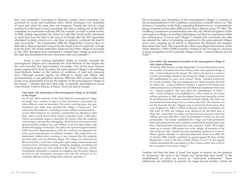that were submitted. According to Bedouin custom, land ownership was governed by social and traditional rules, which developed over hundreds of years and which the state does not recognize. Despite the lack of a legal resolution to the issue of land ownership, the state is making use of the land, sometimes in cooperation with the JNF, for example, in order to plant forests. In 2008, Adalah represented Mr. Nouri Al-Uqbi after Israeli police attempted to expel him from his land in the area of al-Araqib after the JNF repeatedly attempted to plant a forest on it, and thus, in practice, confiscate the land to state ownership.131 On 8 September 2008, the Magistrates' Court in Beer el-Sabe (Be'er Sheva) rejected a request by the Israeli police to expel Mr. Al-Uqbi from his land. The Israeli authorities destroyed the entire village of al-Araqib in July 2010. Residents have attempted to rebuild their village several times; the state has demolished the new structures after each attempt.132

 Israel is now making intensified efforts to forcibly evacuate the unrecognized villages and concentrate the Arab Bedouin in the Naqab into the over-crowded and impoverished townships. One of the most extreme means employed by Israel to empty the unrecognized villages is demolishing Arab Bedouin homes on the pretext of violations of land and planning laws. Although accurate figures are difficult to obtain and official state documentation is not published, between 2000 and 2007 at least 3,084 Arab homes were demolished in Israel, the majority in the unrecognized villages in the Naqab.133 Villages that have been fully or partially demolished in recent years include Umm el-Heiran, al-Surra, Tweiyyah and al-Araqib.

#### **Case study: The destruction of the unrecognized village of Al-Araqib in the Naqab**

On 27 July 2010, residents of the Arab Bedouin unrecognized village al-Araqib were awoken at dawn to find themselves surrounded by police officers, some on horseback. The police, carrying guns, tear gas, truncheons and other arms, declared the village a "closed area" and ordered its 250 residents—including women, children and the elderly to leave their homes in two minutes, warning that any attempt to resist their orders would lead to their forced evacuation. Some 1,300 police officers immediately began to demolish the homes while the residents were trying to salvage their belongings. All 45 houses were razed to the ground and the villagers were left without a roof over their heads, with all their belongings confiscated. The police also uprooted approximately 4,500 olive trees. Representatives of the Tax Authority accompanied the police and seized property of indebted residents. This confiscation was undertaken without prior warning or any demand that the residents pay their debt, and was therefore illegal. The village was destroyed for the second time a week later, with police again using violent means and excessive force, including pushing, stomping, dragging, assaulting and cursing the people who were present in the village at the time. Adalah immediately demanded a criminal investigation into the police officers involved in the demolition operation, and into the presence of Tax Authority officials and the illegal debt collection operation.<sup>134</sup>

The evacuation and demolition of the unrecognized villages is contrary to the recommendations of the Goldberg Commission, formally known as "The Advisory Committee on the Policy regarding Bedouin towns," as presented to the government in December 2008 (see the State's Report, paras. 477-482). The Goldberg Commission recommended, inter alia, the official recognition of the unrecognized villages, according to limitations, and their incorporation within the existing array of towns and villages.135 Despite this conclusion, the state has rejected the option of granting recognition to the unrecognized villages and is now stepping up its efforts to dispossess the Bedouin and displace them from their land. The extraordinary direct and illegal intervention of the Prime Minister's Office (PMO) recently resulted in the reversal of a decision to grant recognition to all or part the villages of Atir – Umm al-Hieran and Tel Arad.136

#### **Case study: The attempted evacuation of the unrecognized village of Atir–Umm al-Hieran**

On 30 July 2009, the Beer el-Sabe Magistrates' Court ordered the eviction of a number of residents from their homes in the unrecognized village of Atir – Umm al-Hieran in the Naqab. The order is the latest in a series of eviction proceedings aimed at uprooting the village in preparation for the establishment of a new town named "Hiran," planned exclusively for Jewish residents. The land designated for Hiran includes the land on which Atir – Umm al-Hieran is located. A report by the Israel Land Administration (ILA) identifies the Arab Bedouin inhabitants of the area as a "special problem" that may affect the establishment of Hiran.<sup>137</sup> Atir – Umm al-Hieran was established by order issued by the Israeli military governor in 1948, after the military forces had forcefully evicted its residents from their homes and land in Wadi Zuballa. The tribe was prevented from returning to live or work on the land. This transfer was not the first time that the villagers were evicted from their homes: they were displaced in 1948 to Hirbat al-Hanzail and then to Kokheh and Abu Kaff. In 1956, the villagers were displaced for the third time to Wadi Atir, where they live today, having received assurances from the military governor that they would be permitted to remain on the land permanently. The people established the village and built permanent brick and cement homes, and worked to rebuild their familial and social lives, which had been disrupted by each expulsion. Today, 150 families made up of around 1,000 people live in the village, all members of the Abu al-Qia'an tribe. Adalah has been defending residents of Umm al-Hieran against attempts to expel and dispossess them since 2004. On 21 October 2009, Adalah submitted an appeal against the Beer el-Sabe Magistrates' Court to the Beer el-Sabe District Court.138 In the appeal, Adalah demanded the cancellation of the eviction orders and a halt to the evacuation of the entire village.<sup>139</sup>

Another tool that the State of Israel has begun to employ for the purpose of "Judaizing" the land in the Naqab and "protecting state lands" is the establishment of what are known as "individual settlements." These settlements are inhabited, in general, by single Jewish families, which are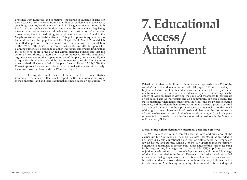provided with hundreds and sometimes thousands of dunams of land for their exclusive use. There are around 60 individual settlements in the Naqab, stretching over 81,000 dunams of land.<sup>140</sup> The government's "Wine Path Plan" seeks to establish individual settlements by retroactively legalizing these existing settlements and allowing for the construction of a number of new ones, thereby distributing vast and lucrative portions of land in the Naqab exclusively to Jewish citizens.141 This policy prevents equal access to the land for the entire population of the Naqab. On 30 March 2006, Adalah submitted a petition to the Supreme Court demanding the cancellation of the "Wine Path Plan".142 The court ruled on 15 June 2010 to uphold the planning authorities' decision to establish individual settlements, finding that the decision to approve the plan fell within planning policies and that the court had no authority to intervene. The court did not address the petitioners' arguments concerning the disparate impact of the plan, and specifically the unequal distribution of land and the discrimination against the Arab Bedouin unrecognized villages entailed by the plan. Meanwhile, on 12 July 2010, the Knesset approved a new law to legalize individual settlements retroactively, including those that lie outside the Wine Path Plan.<sup>143</sup>

 Following its recent review of Israel, the UN Human Rights Committee recommended that Israel "respect the Bedouin population's right to their ancestral land and their traditional livelihood based on agriculture."144

### **7. Educational Access / Attainment**

Palestinian Arab school children in Israel make up approximately 25% of the country's school students, at around 480,000 pupils.<sup>145</sup> From elementary to high school, Arab and Jewish students learn in separate schools. Systematic, institutionalized discrimination in the education system in Israel impedes the ability of Arab students to develop the skills and awareness to participate on an equal basis, as individuals and as a community, in a free society. The state education system ignores the rights, the needs, and the priorities of Arab students, and thus denies them the opportunity to develop a positive cultural and national identity. The three primary sources of inequality are the denial of the right to determine educational goals and objectives, the discriminatory allocation of state resources to Arab schools and students, and the inadequate representation of Arab citizens in decision-making positions in the Ministry of Education (MOE).

#### **Denial of the right to determine educational goals and objectives**

The MOE retains centralized control over the form and substance of the curriculum for Arab schools. *The State Education Law (1953),* as amended in February 2000, sets educational objectives for state schools that emphasize Jewish history and culture. Article 2 of the law specifies that the primary objective of education is to preserve the Jewish nature of the state by teaching its history, culture, language, and so on. Article 2(11) stipulates that one objective of education is to acknowledge the needs, culture and language of the Arab population in Israel. However, this rather weakly-worded article is not being implemented, and this objective has not been realized. In reality, students in Arab state-run schools receive very little instruction in Palestinian or Arab history, geography, literature and culture, and spend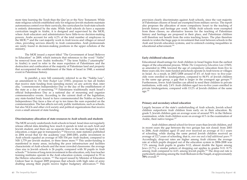more time learning the Torah than the Qur'an or the New Testament. While state religious schools established only for religious Jewish students maintain autonomous control over their curricula, the curriculum for Arab state schools is entirely determined by the state. While Arab schools do have a separate curriculum taught in Arabic, it is designed and supervised by the MOE, where Arab educators and administrators have little-to-no decision-making powers. Arabs account for only 6.2% of the total number of employees in the MOE,146 and the vast majority work in Arab towns and villages or mixed cities, providing services directly to Arab communities. Arab professionals are rarely found in decision-making positions in the upper echelons of the ministry.

 The MOE issued a report titled "The Government of Israel Believes in Education" in 2009, which instructs that references to the word "*Nakba*" be removed from new Arabic textbooks.<sup>147</sup> The term Nakba ("catastrophe" in Arabic) is used to refer to the mass expulsion of Palestinians and the destruction and confiscation of the majority of Palestinian land and property that accompanied the establishment of the State of Israel in 1948, a seminal event in Palestinian history.

 In parallel, a new bill commonly referred to as the "Nakba Law", an amendment to *The State Budget Law (1985)*, proposes to ban all bodies that receive state funding from spending money on any activity that, inter alia, "commemorates Independence Day or the day of the establishment of the state as a day of mourning."148 Palestinians traditionally mark Israel's official Independence Day as a national day of mourning and organize commemorative events. According to the current draft of the legislation, any state-funded body found to have commemorated the Nakba on Israel's Independence Day faces a fine of up to ten times the sum expended on the commemoration. The ban affects not only public institutions, such as schools, but also NGOs and other civil society and political organizations that receive even a small amount of state funding.

#### **Discriminatory allocation of state resources to Arab schools and students**

The MOE severely underfunds Arab schools in Israel. Israel does not regularly release official data detailing how much it spends in total on each Arab and Jewish student, and there are no separate lines in the state budget for Arab education, a major gap in transparency.149 However, state statistics published in 2004 reveal that for the academic year 2000-2001, public investment in Arab schools equaled an average of NIS 534 per Arab student, compared to NIS 1,779 per Jewish student, or three times more.150 This under-funding is manifested in many areas, including the poor infrastructure and facilities characteristic of Arab schools and the more crowded classrooms: the average class size in Jewish schools is 26 pupils, compared with 30 pupils in Arab schools.151 In terms of long-term investment in the education, only four teacher training institutes operate in the Arab education system, compared to 55 in the Hebrew education system. 152 The report issued by Minister of Education Gideon Saar in August 2009 proposes that schools with high rates of army drafting among their pupils receive higher budgetary allowances.153 This

provision clearly discriminates against Arab schools, since the vast majority of Palestinian citizens of Israel are exempted from military service. The report also proposes the allocation of more compulsory hours to the teaching of Jewish history and heritage per week. While Arab schools were exempted from these classes, no alternative lessons for the teaching of Palestinian history and heritage are proposed in their place, and Palestinian children will therefore not benefit from the extra teaching hours. The plan therefore stands to widen the huge gaps in investment that exist between schools in the Arab and Jewish education systems, and to entrench existing inequalities in educational achievement.154

#### **Early childhood education**

Educational disadvantage for Arab children in Israel begins from the earliest stages of the educational process. While *The Compulsory Education Law (1949)*, as amended in 1984, lowered the age of compulsory education from five to three years old, few state-funded preschools operate in Arab towns or villages in Israel. As a result, in 2007/2008 around 67.4% of Arab two- to five-yearolds were enrolled in kindergartens, compared to 84.9% of Jewish children in the same age group, a gap that is larger in the youngest age groups.155 Furthermore, fewer Arab families can afford to send their children to private institutions, with only 2.4% Arab children aged two-to-five years enrolled in private kindergartens, compared with 13.2% of Jewish children of the same age.156

#### **Primary and secondary school education**

Largely because of the state's underfunding of Arab schools, Jewish school children outperform Arab children from early on in their education. By grade 5, Jewish children gain an average score of around 79% in the Hebrew examination, while Arab children score on average 61% in the examination of Arabic, their native tongue.<sup>157</sup>

 Arab children attend school for fewer years than Jewish children, and in recent years the gap between the two groups has not closed: from 2003 to 2006, Arab children aged 15 and over received an average of 11.1 years of schooling, while during the same period Jewish children received an average of 12.7 years of schooling, that is, *over one and a half additional years.*<sup>158</sup> Accordingly, drop-out rates are higher among Arab citizens: the average rate at which pupils dropped out of the education system in 2006-2008 was 7.2% among Arab pupils in grades 9-12, almost double the figure among Jews (3.7%); a similar pattern of dropping out applies to grades 9-11: 8.7% among Arab compared to 4.4% among Jewish pupils.159 The drop-out rate is particularly alarming among the Arab Bedouin in the Naqab, at approximately **70%** overall.160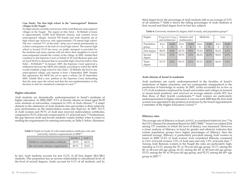#### **Case Study: The first high school in the "unrecognized" Bedouin villages in the Naqab**

No high schools currently exist in any of the Arab Bedouin unrecognized villages in the Naqab. The region of Abu Tulul – El-Shihabi is home to approximately 12,000 Arab Bedouin citizens, and contains seven unrecognized villages. Around 750 female and male students are of high school age; however, only approximately 170 attend high school. The rest—around 77% of the total—drop out of school permanently as a direct consequence of the lack of a local high school. The nearest high school is located 12-15 km away; no public transport is provided for the students and many parents will not allow their daughters to travel unaccompanied outside the vicinity of the village. In 2005, Adalah filed a petition to the Supreme Court on behalf of 35 Arab Bedouin girls and six local NGOs to demand that an accessible high school be built in Abu Tulul – El-Shihabi.161 In January 2007, the Supreme Court approved a settlement between the MOE and Adalah, according to which the MOE would establish a high school in Abu Tulul – El-Shihabi, the first in any unrecognized village, and operate it from 1 September 2009. Despite this agreement, the MOE has yet to open a school. On 22 September 2009, Adalah filed a new petition to the Supreme Court demanding that the state open the school and that the non-implementation of the decision to date be considered contempt of court.<sup>162</sup>

#### **Higher education**

Arab students are dramatically underrepresented in Israel's institutes of higher education. In 2006/2007, 9.1% of Jewish citizens in Israel aged 20-29 were students at universities, compared to 3.8% of Arab citizens.<sup>163</sup> A major obstacle to the admission of Arab students into universities is their relatively poor performance on the matriculation exams (the *Baghrut*). In 2007, 54.1% of Arab women and 39.5% of Arab men received matriculation certificates, compared to 70.5% of Jewish women and 61.1% of Jewish men.164 Furthermore, the gap between Arab and Jewish students widens further when it comes to meeting the requirements for entering university, as Table 5, below, illustrates.

**Table 5**: Pupils in Grade 12 with matriculation certificates who met university entrance requirements in 2006<sup>165</sup>

|                                         | Jewish % | Arab % |
|-----------------------------------------|----------|--------|
| Entitled to a matriculation certificate | 54.9%    | 46.3%  |
| Met university entrance requirements    | 48.3%    | 34.4%  |

In fact, Arab students account for just 11.2% of all first degree (BA/BSc) students. This proportion has an inverse relationship to educational level: at the level of second degrees, Arabs account for 6.1% of all students, and by third degree level, the percentage of Arab students falls to an average of 3.5% of all students.166 Table 6 shows the falling percentages of Arab students at first, second and third degree level in four key subjects

| Table 6: University students by degree, field of study, and population group <sup>167</sup> |  |  |  |
|---------------------------------------------------------------------------------------------|--|--|--|
|                                                                                             |  |  |  |

| Degree              |                  | Engineering<br>and architecture |              | Sciences and<br>mathematics |              | Medicine      |                     | Law           |
|---------------------|------------------|---------------------------------|--------------|-----------------------------|--------------|---------------|---------------------|---------------|
| Population<br>group | <b>Jews</b><br>% | Arabs<br>$\%$                   | Jews<br>$\%$ | Arabs<br>$\%$               | Jews<br>$\%$ | Arabs<br>$\%$ | <b>Jews</b><br>$\%$ | Arabs<br>$\%$ |
| First degree        | 90.0%            | $6.0\%$                         | 85.3%        | 9.5%                        | 79.3%        | 19.7%         | 92.4%               | 6.7%          |
| Second<br>degree    | 91.6%            | 3.1%                            | 92.9%        | 3.3%                        | 86.6%        | 12.3%         | 94.8%               | 4.7%          |
| Third<br>degree     | 91.7%            | 2.5%                            | 95.1%        | $2.1\%$                     | 93.1%        | 4.1%          | 96.9%               | 3.1%          |

#### **Arab citizens of Israel in acade Arab citizens of Israel in academia**

Arab academics are sorely underrepresented in the faculties of Israel's institutions of higher education, and are consequently marginalized in the production of knowledge in society. In 2007, Arabs accounted for as few as 1.2% of all academics employed by Israeli universities and colleges in tenured or tenure-track positions, and received on average salaries worth 50% less than those of their Jewish counterparts.168 Arab women are particularly underrepresented in higher education: it was not until 2008 that the first Arab woman was appointed to the position of professor by the Israeli Appointments Committee of the Higher Education Council.169

#### **Illiteracy rates**

The average rate of illiteracy in Israel, at 4.6%, is considered relatively low.170 In the UN's Human Development Report for 2007/2008,171 Israel was ranked 23rd among 177 countries in which the level of literacy was measured. However, a closer analysis of illiteracy in Israel by gender and ethnicity indicates that certain population groups have higher percentages of illiteracy than the national average. Illiteracy is particularly prevalent among Arab women in Israel: in 2008, 13.4% of Arab women were considered illiterate, compared to 3.4% of Jewish women, 5.5% of Arab men and only 1.9% of Jewish men.<sup>172</sup> Among Arab Bedouin women in the Naqab the rates are particularly high, standing at 13.2% among the 35- to 39-year-old age group, 31.7% among the 40- to 44-year-old age group, 61.4% among the 45- to 49-year-old age group, 53.5% among the 50- to 59-year-old age group, and 92.3% among the 60+ age group in 2007.173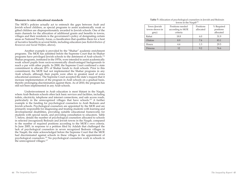#### **Measures to raise educational standards**

The MOE's policies actually act to entrench the gaps between Arab and Jewish school children, as special programs to assist academically weak or gifted children are disproportionately awarded to Jewish schools. One of the main channels for the allocation of additional grants and benefits to towns, villages and their residents is the government's policy of designating certain areas as National Priority Areas, a classification that qualifies them for a host of lucrative benefits in several fields, including education (see *Redistribution of Resources and Social Welfare*, above).

 Another example is provided by the "Shahar" academic enrichment programs. The MOE has admitted before the Supreme Court that its Shahar programs have privileged Jewish schools to the detriment of Arab schools.174 Shahar programs, instituted in the 1970s, were intended to assist academically weak school pupils from socio-economically disadvantaged backgrounds to reach a par with other pupils. In 2000, the Supreme Court confirmed a state commitment to allocate 20% of Shahar funds to Arab schools. Prior to this commitment, the MOE had not implemented the Shahar programs in any Arab schools, although their pupils were often in greatest need of extra educational assistance. The Supreme Court accepted the state's request that it increase implementation of the program in Arab schools on a gradual basis, thereby prolonging discrimination against them. As of 2010, the program has still not been implemented in any Arab schools.

 Underinvestment in Arab education is most blatant in the Naqab, where Arab Bedouin schools often lack basic services and facilities, including toilets, electricity, telephone and internet connections, and safe access roads, particularly in the unrecognized villages that have schools.175 A further example is the funding for psychological counselors to Arab Bedouin and Jewish schools. Psychological counselors are appointed by the MOE and are primarily responsible for diagnosing and treating students with learning and developmental disabilities, providing suitable educational frameworks for students with special needs, and providing consultation to educators. Table 7, below, details the number of psychological counselors allocated to schools in selected (recognized) Bedouin and Jewish towns in the Naqab, compared to the number of required positions according to the MOE's own criteria. In June 2005, in response to a petition filed by Adalah that challenged the lack of psychological counselors in seven recognized Bedouin villages in the Naqab, the state acknowledged before the Supreme Court that the MOE had discriminated against schools in these villages in the appointment of psychological counselors.176 No psychological counselors work in schools in the unrecognized villages.<sup>177</sup>

**Table 7:** Allocation of psychological counselors in Jewish and Bedouin towns in the Naqab<sup>178</sup>

| Town (Jewish<br>towns shown in<br>grey) | Positions needed<br>according to MOE<br>criteria | Positions<br>allocated | % Required<br>positions<br>allocated |
|-----------------------------------------|--------------------------------------------------|------------------------|--------------------------------------|
| Rahat                                   | 18.8                                             | 6.0                    | 31.9                                 |
| Ofakim                                  | 8.9                                              | 7.4                    | 83.1                                 |
| Houra                                   | 4.4                                              | 1.3                    | 29.5                                 |
| Dimona                                  | 12                                               | 9.2                    | 76.6                                 |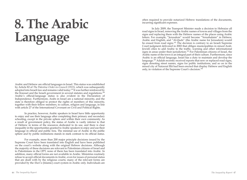# **8. The Arabic Language**

Arabic and Hebrew are official languages in Israel. This status was established by Article 82 of *The Palestine Order-in-Council (1922)*, which was subsequently adopted into Israeli law and remains valid today.179 It was further reinforced by the Knesset and the Israeli government in several statutes and regulations.<sup>180</sup> Arabic's official-language status is also evident in the Declaration of Independence. Furthermore, Arabs in Israel are a national minority, and the state is therefore obliged to protect the rights of members of this minority, together with their fellow members, to culture, religion and language, in line with article 27 of the International Covenant on Civil and Political Rights.

 In practice, however, Arabic speakers in Israel have little opportunity to enjoy and use their language after completing their primary and secondary schooling, except in the private sphere and within their own community. As a result of government policy, the status of Arabic is vastly inferior to that of Hebrew in terms of the resources dedicated to its use, and there is clear inequality in the opportunities granted to Arabic speakers to enjoy and use their language in official and public fora. The minimal use of Arabic in the public sphere and by public institutions stands in stark contrast to its official status.

 For example, more than 200 major principle decisions issued by the Supreme Court have been translated into English and have been published on the court's website along with the original Hebrew decisions. Although the majority of these decisions are relevant to Palestinian citizens of Israel and to Palestinians in the OPT, none of them has been translated into Arabic. In addition, many official forms are not available in Arabic. Ministries routinely refuse to accept official documents in Arabic, even for issues of personal status that are dealt with by the religious courts; many of the relevant forms are provided by the *Shari'a* (Islamic) court system in Arabic only. Individuals are often required to provide notarized Hebrew translations of the documents, incurring significant expenses.

 In July 2009, the Transport Minister made a decision to Hebraize all road signs in Israel, removing the Arabic names of towns and villages from the signs and replacing them with the Hebrew names of the places using Arabic letters. For example, "Jerusalem" would become "Yerushalaim" in Hebrew, Arabic and English, and "Al-Quds" (the Arabic name for Jerusalem) would be erased from road signs.181 The decision is contrary to an Israeli Supreme Court judgment delivered in 2002 that obliges municipalities in mixed Arab-Jewish cities to add Arabic to the traffic, warning and other informational signs in areas under their jurisdiction.<sup>182</sup> For Palestinian citizens of Israel, the Arabic name of the town is an integral part of their culture. Furthermore, since Arabic is an official language, Israel has a duty to maintain and develop the language.<sup>183</sup> Adalah recently received reports that new or replaced road signs, signs denoting street names, signs for public institutions, and so on in the mixed city of Natzerat Illit had been erected that display Hebrew and English only, in violation of the Supreme Court's decision.184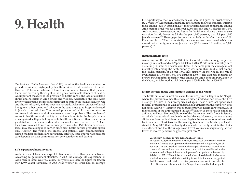# **9. Health**

*The National Health Insurance Law (1995)* requires the healthcare system to provide equitable, high-quality health services to all residents of Israel. However, Palestinian citizens of Israel face numerous barriers that prevent them from exercising their right to the highest sustainable standard of health. An important measure of the provision of health care is the lack of available clinics and hospitals in Arab towns and villages. Nazareth is the only Arab town with hospitals; the three hospitals that operate in the town are church run and church affiliated, and are not state hospitals. Palestinian citizens of Israel living in all other towns and villages in the state must go to hospitals located in Jewish or mixed cities. The limited provision of public transportation to and from Arab towns and villages exacerbates the problem. The problem of access to healthcare and mobility is particularly acute in the Naqab, where unrecognized villages lacking on-site health facilities are often located at a great distance from main roads, and where most women do not drive.185 Once they have traveled to medical service provision sites, Palestinian citizens of Israel may face a language barrier, since most health service providers speak only Hebrew. The young, the elderly and patients with communicationrelated medical problems are particularly affected, since appropriate medical care depends on clear communication between doctor and patient.

#### **Life expectancy/mortality rates**

Arab citizens of Israel can expect to live shorter lives than Jewish citizens. According to government statistics, in 2008 the average life expectancy of Arab men in Israel was 75.9 years, four years less than the figure for Jewish men (79.9 years). Similarly, in 2008 Arab women in Israel had an average

life expectancy of 79.7 years, 3.6 years less than the figure for Jewish women  $(83.3 \text{ years})$ .<sup>186</sup> Accordingly, mortality rates among the Arab minority outstrip those among Jews in Israel: in 2007, the standardized rate of mortality among Arab men in Israel was 5.6 deaths per 1,000 persons, and 4.1 deaths per 1,000 Arab women; the corresponding figure for Jewish men during the same year was significantly lower, at 3.9 deaths per 1,000 persons, and 2.8 per 1,000 Jewish women.<sup>187</sup> These gaps become particularly wide after the age of 60. For example, in 2006 the mortality rate among Arab men aged 60-64 was almost twice the figure among Jewish men (16.1 versus 8.7 deaths per 1,000 persons).188

#### **Infant mortality rates**

According to official data, in 2008 infant mortality rates among the Jewish majority in Israel stood at 2.9 per 1,000 live births. While infant mortality rates are falling in Israel as a whole over time, in the same year the average infant mortality rate among the Arab minority was more than double that among the Jewish majority, at 6.5 per 1,000 live births.<sup>189</sup> In the Naqab, the rate is even higher, at 15.0 per 1,000 live births in 2005.190 The data also indicates an *upward trend* in infant mortality rates among the Arab Bedouin population in the Naqab, which stood at 13.3 deaths per 1,000 live births in 2003.191

#### **Health services in the unrecognized villages in the Naqab**

The health situation is most critical in the unrecognized villages in the Naqab, where the provision of health services is either limited or non-existent. There are only 12 clinics in the unrecognized villages. These clinics lack specialized medical professionals as well as pharmacies. Furthermore, the staff often does not speak Arabic.192 Together, these services provide health care to just 20% of the residents of the unrecognized villages.193 Eleven of these health clinics are affiliated to Kupat Holim Clalit (one of the four major health funds in Israel), on which thousands of people rely for health care. However, not one of these clinics employs pediatricians or gynecologists. In response to inquiries made by Adalah and Physicians for Human Rights—Israel, the Ministry of Health stated in May 2009 that the family doctors who currently work in the clinics are sufficient and that the villagers can travel to clinics in neighboring Jewish towns to receive pediatric or gynecological care.<sup>194</sup>

#### **Case Study: Closure of "mother and child" clinics**

In October 2009, the Ministry of Health (MOH) closed down three "mother and child" clinics that operate in the unrecognized villages of Qasr el-Ser, Abu Tlul and Wadi el-Naim in the Naqab. The clinics specialize in post-natal care and are part of a group of six clinics established in the unrecognized villages following a Supreme Court petition submitted by Adalah in 1997.195 The ministry claimed it had closed the clinics because of a lack of nurses and doctors willing to work in them and suggested that the women and children receive post-natal services in Beer el-Sabe (Be'er Sheva) and elsewhere in the Naqab. However, the lack of public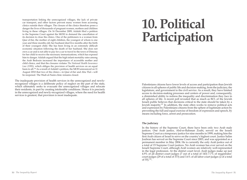transportation linking the unrecognized villages, the lack of private car transport, and other factors prevent many women from accessing clinics outside their villages. The closure of the clinics therefore poses a danger the lives of thousands of pregnant women, mothers and children living in these villages. On 16 December 2009, Adalah filed a petition to the Supreme Court against the MOH to demand the cancellation of its decision to close the clinics. One of the petitioners is a woman from Qasr el-Ser, the mother of eight children, the youngest of whom is one year and three months old; her husband died five months after the birth of their youngest child. She has been living in an extremely difficult economic situation following the death of her husband. She does not own a car and is not able to pay for a car to travel to the town of Dimona for her child to receive the necessary immunizations, which has exposed him to danger. Adalah argued that the high infant mortality rates among the Arab Bedouin increased the importance of accessible mother and child clinics, and that the closures violates *The National Health Insurance Law (1995)*, which obliges the provision of health services on an equal basis to all.196 As a result of Adalah's petition, the MOH announced on 11 August 2010 that two of the clinics—in Qasr el-Ser and Abu Tlul—will be reopened. The Wadi al-Naim clinic remains closed.

The inadequate provision of health services in the unrecognized and newlyrecognized villages is a deliberate policy of neglect on the part of the state, which ultimately seeks to evacuate the unrecognized villages and relocate their residents, in part by creating intolerable conditions. Hence it is precisely in the unrecognized and newly-recognized villages, where the need for health services is greatest, that provision is most inadequate.

## **10. Political Participation**

Palestinians citizens have lower levels of access and participation than Jewish citizens in all spheres of public life and decision-making, from the judiciary, the legislature, and government to the civil service. As a result, they have limited access to decision-making processes and centers of power and, consequently, a diminished ability to redress the inequality and discrimination they face in all spheres of life. A recent poll revealed that as much as 86% of the Jewish Israeli public believes that decisions critical to the state should be taken by a Jewish majority.197 In addition, the state often works to remove political acts and expression by Palestinians citizens from the sphere of legitimate action by preventing the full and equal exercise of freedom of expression and speech, by means including force, arrest and prosecution.

#### **The judiciary**

In the history of the Supreme Court, there have been only two Arab male justices. One Arab justice, Abd-er-Rahman Zoabi, served on the Israeli Supreme Court as a temporary justice for nine months in 1999, making him the first Arab citizen of Israel to serve on the country's highest court. Justice Salim Joubran has served on the Supreme Court since 2003, and was appointed as a permanent member in May 2004. He is currently the only Arab justice out of a total of 15 Supreme Court justices. No Arab woman has ever served on the Israeli Supreme Court, although Arab women are relatively well-represented in the legal profession. At the district court level, Arab judges make up just 4.9% of all district court judges (7 out of a total of 143) 7.7% of magistrates' court judges (29 of a total of 373) and 3.6% of all labor court judges (2 of a total of 55).198.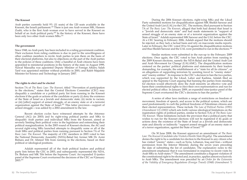#### **The Knesset**

Arab parties currently hold 9% (11 seats) of the 120 seats available in the Knesset, the Israeli parliament.<sup>199</sup> There is just one Arab woman MK, Haneen Zoabi, who is the first Arab woman ever to have served in the Knesset on behalf of an Arab political party.200 In the history of the Knesset, there have been only two other Arab women MKs.<sup>201</sup>

#### **The government**

Since 1948, no Arab party has been included in a ruling government coalition. Their exclusion from ruling coalitions is due in part to the unwillingness of other coalition members to invite Arab parties to join them on the basis of their electoral platforms, but also to objections on the part of the Arab parties to the policies of these coalitions. Only a handful of Arab citizens have been appointed to ministerial positions in the history of the state: in August 1999, Nawaf Massalha was appointed Deputy Minister of Foreign Affairs; Salah Tarif was appointed minister without portfolio in 2001; and Raleb Majadele Minister for Science and Technology in January 2007.

#### **The rights to elect and be elected**

Section 7A of *The Basic Law: The Knesset*, titled "Prevention of participation in the elections," states that the Central Elections Committee (CEC) may disqualify a candidate or a political party list from running in the Knesset elections if the goals or actions of the candidate or party (i) deny the existence of the State of Israel as a Jewish and democratic state; (ii) incite to racism; or (iii) [offer] support of armed struggle, of an enemy state or of a terrorist organization against the State of Israel.202 This latter provision—support of armed struggle—was added by a 2002 amendment to the law.

 Recent election cycles have witnessed attempts by the Attorney General (AG) (in 2003) and by right-wing political parties and MKs to disqualify Arab parties and individual MKs from the Knesset, aimed at severely limiting their political voice in the legislature and entrenching their political marginalization. In the 2003 round of Knesset elections, the AG and several right-wing MKs launched attempts to disqualify some or all of the Arab MKs and political parties from running pursuant to Section 7A of *The Basic Law: The Knesset.* The majority of CEC members in 2003 voted to ban the National Democratic Assembly (NDA)-Balad list, former MK Dr. Azmi Bishara and Dr. Ahmed Tibi from running in the elections, based on their political or ideological positions.

 Adalah represented all of the Arab political leaders and political party lists before the CEC in 2003, and subsequently represented the NDA, Dr. Bishara and MK Tibi before the Supreme Court. An expanded 11-justice panel of the Supreme Court overturned the decisions of the CEC on 9 January 2003.203

 During the 2006 Knesset elections, right-wing MKs and the Likud Party submitted motions for disqualification against MK Sheikh Sarsour and the United Arab List (UAL) to the CEC. The motions, filed pursuant to Section 7A of *The Basic Law: The Knesset*, alleged that both had denied that Israel is a "Jewish and democratic state" and had made statements in "support of armed struggle of an enemy state or of a terrorist organization against the State of Israel." Adalah represented MK Sarsour and the UAL before the CEC. At a CEC hearing in February 2006, Adalah argued that the motions should be rejected, as they lack a factual basis and rely on inaccurate media reports. Later in February, the CEC voted 18 to 16 against the disqualification motions and thus Sheikh Sarsour and the UAL were permitted to run in the elections.204

 Similar motions were submitted in the run-up to the February 2009 elections. Once again, the CEC voted to ban Arab parties from running in the 2009 Knesset elections, namely the NDA-Balad and the United Arab List and Arab Movement for Change (UALAMC). The disqualification motions centered on the parties' political platforms and statements by their leaders demanding, for example, the establishment of a "state for all its citizens", or on allegations of supporting terrorism by assisting travel to "enemy states" and "enemy entities". In response to the CEC's decision to ban the two parties, which was supported by the Likud, Labor and Kadima, Adalah filed an appeal to the Supreme Court arguing that banning the parties from standing for election would effectively deny the Arab minority an effective vote and harm their constitutional rights to elect their own representatives and run for elected political office. In January 2009, an expanded nine-justice panel of the Supreme Court overturned the CEC's decisions to ban the parties.<sup>205</sup>

 A series of other laws institute a range of restrictions on freedom of movement, freedom of speech, and access to the political system, which are used predominantly to curb the political freedoms of Palestinian citizens and their elected representatives. These include *The Law of Political Parties (1992) (Amendment 12) (2002)* which sets forth various ideological limitations on the registration rights of political parties, similar to Section 7(A) of *The Basic Law: The Knesset*. These limitations include the provision that a political party that wishes to run for the Knesset elections will not be registered if its goals or actions deny the existence of the State of Israel as a Jewish and democratic state and directly or indirectly "support armed struggle of an enemy state or of a terror organization, against the State of Israel."<sup>206</sup>

 On 30 June 2008, the Knesset approved an amendment of *The Basic Law: The Knesset (Candidate who Visited a Hostile State Illegally).* The amendment denies the right to be a candidate for election to the Knesset to any citizen who has visited "enemy" states—such as Syria, Lebanon, Iraq and Iran—without permission from the Interior Minister, during the seven years preceding the date of submitting the list of candidates. The explanatory notes to the amendment emphasize that it was formulated in response to recent visits by Arab MKs to Arab states.<sup>207</sup> The amendment constitutes a flagrant violation of the constitutional right to be elected and, in practice, applies almost exclusively to Arab MKs. The amendment was preceded by an *Order for the Extension of the Validity of Emergency Regulations (Foreign Travel) (1948) (Amendment 7)*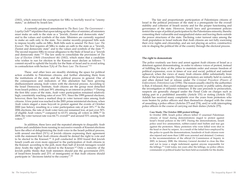*(2002)*, which removed the exemption for MKs to lawfully travel to "enemy states," as defined by Israeli law.

 A currently proposed amendment to *The Basic Law: The Government – Loyalty Oath*208 stipulates that upon taking up the office of minister, all ministers must make an oath to the state as a "Jewish, Zionist and democratic state" and to the values and symbols of the state. Ministers are currently required to make an oath only to the state. Two similar recently-proposed bills seek to impose loyalty oaths on MKs. Both bills seek to amend *The Basic Law: The Knesset.* The first requires all MKs to make an oath to the state as a "Jewish, Zionist and democratic state" and to the values and symbols of the state 209. The second requires MKs to swear allegiance to the State of Israel as a "Jewish and democratic state."210 The law seeks to consolidate the provisions of *The Law of Election (1969) (Amendment 46) (2002)*, which states that a candidate who wishes to run for election to the Knesset must declare as follows: "I commit myself to uphold the loyalty for the State of Israel and to avoid acting in contradiction with Section 7(A) of *The Basic Law: The Knesset.*"211

 These and other laws are steadily shrinking the space for political action available to Palestinian citizens, and further alienating them from the institutions of the state, and the political process in general. One of the consequences and indicators of this alienation has been growing disillusionment among Arab voters with the electoral process. According to the Israel Democracy Institute, Arab citizens are the group most detached from Israeli politics, with just 39% attesting to an interest in politics.212 During the first fifty years of the state, Arab voter participation remained relatively high, consistently reaching rates of over 70%. Since the 1999 general elections, however, there has been a marked drop in voter turnout rates among Arab citizens. A low point was reached in the 2001 prime ministerial elections, when Arab voters staged a mass boycott in protest against the events of October 2000 (see below), resulting in a voter participation rate of just 18%.213 In the 2006 elections, the rate of Arab voter turn-out remained low, at just over 50% of eligible Arab voters,214 compared to 63.5% among all voters in 2006.215 In 2009, the voter turnout rate was 64.7% overall<sup>216</sup> and around 53% among Arab voters.217

 In addition, these laws and the repeated attempts to disqualify Arab parties and candidates from running in successive rounds of Knesset elections have the effect of delegitimizing the Arab voice in the Israeli political process, with around one-third (31%) of Jewish citizens expressing their agreement with the statement that Arab citizens should be denied the right to vote and to be elected to the Knesset.<sup>218</sup> A poll conducted in 2010 found that Jewish Israeli youth are even more opposed to the participation of Arab citizens in the Knesset: according to the poll, more than half of Jewish teenagers would deny Arabs the right to be elected to the Knesset.219 Only a minority of the Jewish public thinks that Arab ministers should join the government (33% of Israel-born Israelis and 23% of immigrants) or that Arab citizens should participate in "decisions fateful to the country".220

 The fair and proportionate participation of Palestinians citizens of Israel in the political processes of the state is a prerequisite for the overall stability and cohesion of Israeli society and for the proper functioning and governance of the state. However, Israeli laws and government policies restrict the scope of political participation by the Palestinians minority, thereby cementing their vulnerable and marginalized status and leaving them outside the power structures of the state. Declining voter turnout rates among the Arab population in Israel indicate that Arab citizens are not fully exercising their civic rights and citizenship, and are not playing an active, constructive role in shaping the political life of the country through the electoral process.

#### **The right to demonstrate**

The police routinely use force and arrest against Arab citizens of Israel as a deterrent against demonstrating, in order to silence voices of protest, instead of fulfilling the duty of the police to maintain order and ensure freedom of political expression, even in times of war and social, political and national upheaval, when the views of many Arab citizens differ substantially from those of the Jewish majority. Detained protestors are initially held in custody and often denied bail or release under *The Criminal Procedure (Powers of Enforcement, Detentions) Law (1996)*. The reason usually cited by the authorities is that, if released, they could endanger state security or public safety, disrupt the investigation or influence witnesses. If the case proceeds to prosecution, suspects are generally charged under the Penal Code on charges such as taking part in a prohibited assembly (Article 151) or rioting (Article 152). Adalah has received many complaints over the years from protestors who were beaten by police officers and then themselves charged with the crime of assaulting a police officer (Articles 273 and 274), and/or with interrupting police officers in the course of carrying out their duties (Article 275).

#### **Case Study: The October 2000 protest killings**

In October 2000, Israeli police officers killed 13 unarmed Palestinian citizens of Israel during demonstrations staged to protest against Israel's brutal policies in the OPT. During the demonstrations, Israeli police used live ammunition, rubber-coated steel bullets and tear gas against the protestors. Many protestors who were killed were shot in the head or chest by snipers. As a result of the lethal force employed by the police to quash the demonstrations, hundreds of Arab citizens were also injured and more than 1,000 were arrested and detained. Contrary to the recommendations of the official Or Commission of Inquiry in 2003, in January 2008, the Attorney General decided to close the files and not to issue a single indictment against anyone responsible for the killings.221 Until today, ten years after the killings, no police officer, commander or political leader has been held accountable for the deaths.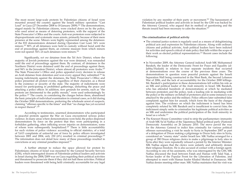The most recent large-scale protests by Palestinian citizens of Israel were mounted around the country against the Israeli military operation "Cast Lead" in Gaza (27 December 2008 to 18 January 2009).<sup>222</sup> The demonstrations, staged mainly by Palestinian citizens, were cracked down on by the police, who used arrest as means of deterring protesters, with the support of the State Prosecutor's Office and the courts. Anti-war protestors were subjected to disproportionate and systematic mass arrests, primarily because of their mere presence at the scene. Minors were highly represented among the detainees: of the 832 demonstrators detained during Operation Cast Lead, 34% were minors.223 80% of all detainees were held in custody without bond until the end of proceedings against them, an extreme measure from which minors were not spared:  $\frac{54}{9}$  of such detainees were minors.<sup>224</sup>

 Significantly, *not one* detainee from the Tel Aviv District, where the majority of Jewish protestors against the war were detained, was remanded until the end of proceedings against them. By contrast, *all* detainees in the Northern District were detained until the end of proceedings against them, and 94% in the Jerusalem District, where almost all protestors were Arabs.225 The State Prosecutor's Office and police appealed every decision to release an Arab detainee from detention and won every appeal they submitted.226 In issuing indictments against the detainees, the State Prosecutor's Office and police presented all protest events, regardless of their character, as a threat to the existence or security of the state. The majority of indictments were issued for participating in prohibited gatherings, disturbing the peace and attacking a police officer. In addition, new grounds for arrests, such as "the protests are detrimental to the public morale," were used unhesitatingly by the police.227 The courts, in considering the charges before them, abandoned the basic principle of individual examination in criminal cases, as it did during the October 2000 demonstrations, preferring the wholesale arrest of suspects, claiming "offenses specific to the times" and that "no change has yet occurred in respect thereof".228

 According to testimonies, unarmed demonstrators who participated in peaceful protests against the War on Gaza encountered serious police violence. In many areas where demonstrations were held, the police dispersed demonstrators by force on the pretext that they were participating in a forbidden gathering, often inflicting severe injuries on demonstrators, some of whom were subsequently hospitalized.229 There is little accountability for such victims of police violence: according to official statistics, of a total of 5,613 complaints of unlawful use of force by police officers investigated between 2001 and 2004, only 230 (4%) resulted in criminal proceedings.230 The information does not detail how many of these proceedings resulted in convictions or any criminal penalties imposed.231

 A further attempt to reduce the space allowed for protest by Palestinians citizens of Israel was mounted by the General Security Services (GSS), which interrogated dozens of Palestinian political leaders and activists in Israel during the 2008/2009 war on Gaza regarding their political activities and threatened to prosecute them if they did not halt these activities. Political leaders were threatened with being held criminally accountable for any legal violation by any member of their party or movement.232 The harassment of Palestinian political leaders and activists in Israel by the GSS was backed by the Attorney General, who argued that its method of questioning and the threats issued had been necessary to calm the situation.<sup>233</sup>

#### **The criminalization of political activity**

- The criminal justice system is regularly used as a means of delegitimizing political acts and expression by Palestinian citizens. Along with ordinary citizens and political activists, Arab political leaders have been indicted for activities and speech critical of state policy that falls within the scope of their work as elected political representatives.234 Recent cases include the following:
- In November 2009, the Attorney General indicted Arab MK Mohammed Barakeh, the leader of the Democratic Front for Peace and Equality (al-Jabha/Hadash) in relation to four separate incidents that occurred at demonstrations over the course of the previous three years. The demonstrations in question were peaceful protests against the Israeli Separation Wall being constructed in the West Bank, the Second Lebanon War of 2006, and the lack of accountability for the October 2000 killings. Mr. Barakeh's participation in these demonstrations fell within his role as an MK and political leader of the Arab minority in Israel. MK Barakeh, who has attended hundreds of demonstrations at which he mediated between protesters and the police, took a leading role in mediating with the police or the military on behalf of protestors and in some instances was attacked by the police and the military. Police officers later submitted false complaints against him for assault, which form the basis of the charges against him. The evidence on which the indictment is based has been completely refuted by MK Barakeh and is insufficient to convict him; the indictment simply seeks to criminalize his legitimate political activities as an MK and undermine the political participation of the Arab minority in Israel as a whole.235
- The Knesset House Committee voted to strip the parliamentary immunity of Arab MK Sa'id Naffaa of the Tajammoa/Balad political party (National Democratic Assembly) on 26 January 2010. The move paved the way for the Attorney General to indict him criminally for various political offenses surrounding a visit he made to Syria in September 2007 as part of a delegation of Druze making a pilgrimage to Druze holy sites in Syria, considered an "enemy state" under Israeli law. MK Naffaa arranged for a group of 280 Druze religious clerics to make a pilgrimage to holy sites in Syria after they were repeatedly refused a permit by the Interior Minister. MK Naffaa argues that the clerics were unfairly and arbitrarily denied their religious freedom. He is also accused of contact with a foreign agent. According to one of his assistants, who was interrogated by the GSS, MK Naffaa discussed the feud between Fatah and Hamas with Talal Naji, a Syrian leader of the Popular Front for the Liberation of Palestine, and attempted to meet with Hamas leader Khaled Meshal in Damascus. MK Naffaa denies meeting either man. MK Naffaa maintains that his visit was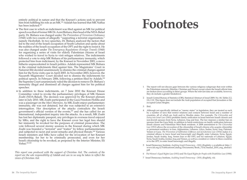entirely political in nature and that the Knesset's actions seek to prevent him from fulfilling his role as an MK.<sup>236</sup> Adalah has learned that MK Naffaa has been indicted.<sup>237</sup>

- The first case in which an indictment was filed against an MK for political speech was that of former MK Dr. Azmi Bishara, then head of the NDA-Balad party. Dr. Bishara was charged under *The Prevention of Terrorism Ordinance (1948)* with two counts of allegedly "supporting a terrorist organization," namely Hezbollah. In two speeches, Dr. Bishara analyzed the factors that led to the end of the Israeli occupation of South Lebanon and spoke about the realities of the Israeli occupation of the OPT and the right to resist it. He was also charged under *The Emergency Regulations (Foreign Travel) (1948)* for organizing a series of visits for elderly Palestinian citizens of Israel who wished to travel to Syria to visit refugee relatives. The indictments followed a vote to strip MK Bishara of his parliamentary immunity, which protected him from indictment, by the Knesset in November 2001, a move hitherto unprecedented in Israeli politics. Adalah represented MK Bishara in the criminal indictments filed against him. The Magistrates' Court in Natzerat Illit decided unanimously to dismiss the criminal charges against him for the Syria visits case in April 2003. In November 2003, however, the Nazareth Magistrates' Court decided not to dismiss the indictments for political speech. In February 2006, following a petition filed by Adalah,<sup>238</sup> the Supreme Court unanimously ruled the decision to remove Dr. Bishara's immunity illegal and dismissed all charges against him for his political speeches.
- In addition to these indictments, on 7 June 2010 the Knesset House Committee voted to revoke the parliamentary privileges of MK Haneen Zoabi (NDA-Balad). The decision was approved by the Knesset plenum later in July 2010. MK Zoabi participated in the Gaza Freedom Flotilla and was a passenger on the *Mavi Marmara*. As MK Zoabi enjoys parliamentary immunity, she was not detained, but she was subjected to an extensive interrogation. Her description of the attacks contradicts the Israeli government's official version of the events,<sup>239</sup> and she has called for an international, independent inquiry into the attacks. As a result, MK Zoabi has lost her diplomatic passport, any privileges in overseas travel enjoyed by MKs, and the right to have the Knesset cover her legal fees should her immunity be revoked for the purposes of criminal prosecution. The vote followed several stormy sessions in the Knesset during which MK Zoabi was branded a "terrorist" and "traitor" by fellow parliamentarians and subjected to racist and sexist remarks and physical threats.240 Various Israeli ministers and MKs have called for the revocation of her Knesset membership, for her to be criminally prosecuted, and even for her Israeli citizenship to be revoked, as proposed by the Interior Minister, Eli Yishai.241;242

*This report was produced with the support of Christian Aid. The contents of the report are the sole responsibility of Adalah and can in no way be taken to reflect the views of Christian Aid.*

### **Footnotes**

- 1 The report will not discuss gaps between the various religious subgroups that exist within the Palestinian minority (Muslim, Christian and Druze) except where the Israeli official data are broken down according to these groups. Where the relevant data are available, however, they do include a gender breakdown.
- 2 Israeli Central Bureau of Statistics (CBS), Statistical Abstract of Israel 2009, No. 60, Tables 2.2, 2.8, 2.10. This figure does not include the Arab population of occupied East Jerusalem or the occupied Golan Heights.
- 3 Ibid.
- 4 Although not specifically defined as "enemy states" in legislation, they are treated as such by a number of laws that restrict relations and contacts between Israel and a number of countries, all of which are Arab and/or Muslim states. For example, *The Citizenship and Entry into Israel Law (2003)* prohibits family unification in Israel between Israeli citizens and non-Jewish spouses from Syria, Lebanon, Iraq and Iran. The law imposes a similar ban on spouses from the Gaza Strip, in addition to harsh restrictions on family unification between Israeli citizens and Palestinian West Bank residents. A 2008 amendment to *The Citizenship Law (1952)* allows the revocation of the citizenship of Israeli citizens who acquire citizenship or permanent residency in Iran, Afghanistan, Lebanon, Libya, Sudan, Syria, Iraq, Pakistan, Yemen or Gaza. *The Prevention of Infiltration (Offences and Jurisdiction) Law (1954)* makes it a criminal offence to leave Israel and knowingly and illegally enter Lebanon, Syria, Egypt, Jordan, Saudi Arabia, Iraq, Yemen Iran or the OPT, and for nationals of Lebanon, Egypt, Syria, Saudi Arabia, Jordan, Iraq and Yemen, as well as a resident or visitor to these countries or to the OPT, to enter Israel knowingly and illegally.
- 5 Israel Democracy Institute, *Auditing Israeli Democracy—2010*, (English), v, available at: http:// www.idi.org.il/PublicationsCatalog/Documents/Book\_7114/madad\_2010\_eng\_abstract. pdf
- 6 *The Women's Equal Rights Law (1951)* and *The Equal Rights for People with Disabilities Law (1998).*
- 7 Israel Democracy Institute, *Auditing Israeli Democracy—2010*, (English), viii.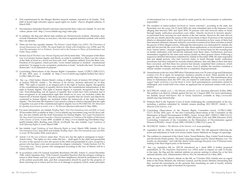- 8 Poll commissioned by the Maagar Mochot research institute, reported in Or Kashti, "Poll: Half of Israeli high schoolers oppose equal rights for Arabs," *Haaretz* (English edition), 11 March 2010.
- 9 Documentary filmmaker Rachel Leah Jones directed the three videos for Adalah. To view the videos, please visit: http://www.adalah.org/eng/video.php
- 10 In addition, the flag and official state emblem are Zionist-Jewish symbols. Therefore, they exclude Palestinian citizens, as non-Jews, who lack recognized national symbols with which they can identify.
- 11 There are four key equality statutes: *The Women's Equal Rights Law (1951)*, *The Prevention of Sexual Harassment Law (1998)*, *The Equal Rights for People with Disabilities Law (1998)*, and *The Anti-Discrimination Act in Products, Services and in the Entrance to Places of Entertainment and Public Places (2000).*
- 12 Section 1(a) of *The Basic Law: Human Dignity and Liberty* states that, "The purpose of this Basic Law is to protect human dignity and liberty, in order to establish in a Basic Law the values of the State of Israel as *a Jewish and democratic state*" (emphasis added). Even the Basic Law: Freedom of Occupation, which provides "every Israeli national or resident" constitutional protection "to engage in any occupation, profession or trade," includes the term "Jewish and democratic" in its statement of purpose.
- 13 Concluding Observations of the Human Rights Committee—Israel, CCPR/C/ISR/CO/3, 29 July 2010, para. 2, available at: http://www2.ohchr.org/english/bodies/hrc/docs/ CCPR.C.ISR.CO.3.doc
- 14 See, e.g., Chief Justice Aharon Barak's ruling in (High Court of Justice) HCJ [High Court of Justice] 7052/03, *Adalah v. The Minister of the Interior*, decision delivered on 14 May 2006: "The right to equality is an integral part of the right to human dignity. Recognition of the constitutional aspect of equality derives from the constitutional interpretation of the right to human dignity. This right to human dignity is expressly recognized in the Basic Law. Notwithstanding, not all aspects of equality that would have been included, had it been recognized as an independent right that stands on its own, are included within the framework of human dignity. Only those aspects of equality that are closely and objectively connected to human dignity are included within the framework of the right to human dignity." The first time the Supreme Court issued a ruling in which it declared that the right to equality was part of the constitutional right to dignity was in HCJ 6427/02, *The Movement for Quality Government in Israel, et al. v. The Knesset* (decision delivered 11 May 2006).
- 15 For more information, see Adalah, *Briefing Paper: New Discriminatory Laws and Bills in Israel*, 29 November 2010, available at: http://www.adalah.org/newsletter/eng/nov10/docs/ndl. doc. See also Adalah and the Arab Association for Human Rights, *New Legal Developments: The New Israeli Government Launches a Flood of Legislation in Violation of the Rights of Palestinian Arab Citizens of Israel*, 4 June 2009, available at: http://www.adalah.org/newsletter/eng/ jun09/Adalah\_HRA\_Briefing\_note\_FINAL\_4.6.09.pdf. See also Adalah, *Legal Violations of Arab Minority Rights in Israel*, March 1998.
- 16 See Adalah, *Legal Violations of Arab Minority Rights in Israel*, March 1998; Adalah, *10 New Discriminatory Laws*, June 2010; and Adalah, *Briefing Paper: New Discriminatory Laws and Bills in Israel*, 29 November 2010, noted above.
- 17 Article 1 of *The Law of Return* states that, "Every Jew has the right to immigrate to Israel." Article 4A(a): "The rights of a Jew under this law… shall apply to the child and grandchild of a Jew, to the spouse of a Jew, the spouse of the child and grandchild of a Jew, except for a person who has been a Jew and converted his religion voluntarily." Under Section 2 of *The Citizenship Law*, "Every person who immigrated according to the Law of Return will be a citizen of Israel."
- 18 In accordance with UN General Assembly Resolution 194 (III), Article 11, issued December 1948, which stipulates that, "[The General Assembly] Resolves that the refugees wishing to return to their homes and live at peace with their neighbours should be permitted to do so at the earliest practicable date, and that compensation should be paid for the property of those choosing not to return and for loss of or damage to property which, under principles

of international law or in equity, should be made good by the Governments or authorities responsible."

- 19 The numbers of status-seekers involved in "terror activities", according to the state, has fluctuated over the years. On 13 April 2010, the state submitted data to the Supreme Court alleging that between 2001 and April 2010, 54 persons who had received status in Israel through family unification procedures were either "directly involved in terrorist attacks" or prevented from carrying out such attacks at the last minute. However, the state did not provide any details about the nature of the involvement of these 54 persons in the reported attacks or attempted attacks. Nor did it provide any information on how many of them had been arrested, detained, released, indicted, convicted or sentenced for these activities or detail the gravity of their alleged actions. Although the information was demanded by Adalah, the state did not provide the court with any data about applications or involvement of persons from "enemy states," strongly suggesting that there is no factual basis for the sweeping ban on family unification with non-Jewish nationals from these states. Furthermore, previous information supplied by the state casts serious doubts on these general claims. Following a request for detailed information submitted by Adalah in December 2008, the state responded that just **seven** persons who had received status in Israel through family unification procedures had been indicted for security-related offenses, that only **two** of these had then been convicted, and that these two persons had already completed their sentences, which suggests that the offenses were relatively minor. Even if reliable, the numbers constitute a minute number of people, and thus the law is completely disproportionate.
- 20 Amendments to the law from 2005 allow Palestinian men over 35 years of age and Palestinian women over 25 to apply for temporary residency permits at most. These permits do not qualify them for work permits, social benefits, driving licenses, etc. The amendments deny status to Palestinians from the OPT who are related to individuals whom *security officials suggest might constitute a security threat to Israel.* Such presumptuous conclusions cannot be challenged, and would hold even where an applicant has no personal contact with such a relative.
- 21 HCJ 7052/03, *Adalah, et al., v. The Minister of Interior, et al.* (decision delivered 14 May 2006). The petition was filed by Adalah against the law on 3 August 2003. For more information, see Adalah, *Special Web-Report: Ban on Family Unification*, available at: http://www.oldadalah.org/eng/famunif.php
- 22 Petitions filed to the Supreme Court of Israel challenging the constitutionality of the law, including a petition submitted by Adalah, remain pending. HCJ 830/07, *Adalah v. The Minister of the Interior, et al.*
- 23 Concluding Observations of the Human Rights Committee—Israel, CCPR/C/ISR/ CO/3, 29 July 2010, para. 15. See also Concluding Observations of the Committee on the Elimination of Racial Discrimination (CERD)—Israel, 14 June 2007, CERD/C/ISR/CO/13, para. 20, and CERD's special decisions of 2003 (Decision 2/63) and 2004 (Decision 2/65); Concluding Comments of the Committee on the Elimination of Discrimination against Women (CEDAW)—Israel, 22 July 2005, CEDAW/C/ISR/CO/3, para. 33.
- 24 HCJ 830/07, *Adalah v. The Minister of the Interior, et al.* (case pending).
- 25 Legislative bill no. 2366/18, introduced on 3 May 2010. The bill appeared following the arrest and indictment of Arab civil society leader Ameer Makhoul on charges of espionage.
- 26 The coalition is composed of the Likud, Labor, Yisrael Beiteinu, Shas, United Torah Judaism, and the Jewish Home parties. The main campaign slogan used by Yisrael Beiteinu was "No loyalty, no citizenship," and with this clearly racist message the party won 15 Knesset seats, making it the third largest party in the Knesset.
- 27 See, e.g., legislative bill no. 102/18, introduced on 1 April 2009. A further proposed amendment, to *The Population Registration Law (1965*) seeks to impose an oath of loyalty to the state, the flag and the national anthem on anyone seeking to obtain his or her first national identity card. Administrative bill no. 811/18, introduced on 4 May 2009.
- 28 In the run-up to the Cabinet's debate on the bill, on 7 October 2010, Adalah sent an urgent letter to the Prime Minister, the Attorney General, and the Justice Minister demanding that they rescind the amendment on the grounds that mandating an oath of loyalty unfairly infringes upon on the right of freedom of expression.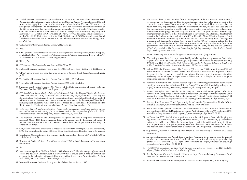- 29 The bill received governmental approval on 10 October 2010. Two weeks later, Prime Minister Benyamin Netanyahu reportedly ordered Justice Minister Yaakov Neeman to redraft the bill so as to also apply it to persons who naturalize in Israel under *The Law of Return*—i.e. to new Jewish immigrants—an amendment that does not remove the discriminatory effect of the bill for non-Jews. For more information, see Adalah News Update, "The New Loyalty Oath Bill Aims to Force Arab Citizens of Israel to Accept their Inferiority, Inequality and Exclusion," 11 October 2010, available at: http://www.adalah.org/eng/pressreleases/ pr.php?file=11\_10\_10; the Association for Civil Rights in Israel, *ACRI in Urgent Appeal: Cancel Undemocratic Loyalty Oath*, 7 October 2010, available at: http://www.acri.org.il/eng/story. aspx?id=780
- 30 CBS, *Income of Individuals (Income Survey) 2008*, Table 25.
- 31 Ibid.
- 32 OECD, *Labour Market and Socio-Economic Outcomes of the Arab-Israeli Population*, March 2010, p. 33, available at: http://www.oecd.org/officialdocuments/displaydocumentpdf?cote=DELSA/ ELSA/WD/SEM%282010%292&doclanguage=en
- 33 Ibid., p. 34.
- 34 CBS, *Income of Individuals (Income Survey) 2008*, Table 25.
- 35 National Insurance Institute, P*overty and Social Gaps, Annual Report 2009*, pp. 5, 11 (Hebrew).
- 36 OECD, *Labour Market and Socio-Economic Outcomes of the Arab-Israeli Population*, March 2010, p. 31.
- 37 The National Insurance Institute, *Annual Survey 2009*, p. 83 (Hebrew).
- 38 The National Insurance Institute, *Annual Survey 2008*, p. 80 (English).
- 39 Supreme Court Justice Theodore Or, "Report of the State Commission of Inquiry into the Events of October 2000," 2003, vol. I, para. 19, p. 33.
- 40 CBS, *Local Councils and Municipalities by Socio-Economic Index, Ranking and Cluster Membership*, 2006, available at: http://www.cbs.gov.il/hodaot2009n/24\_09\_244t3.pdf. These figures do not include Arab citizens living in mixed cities. Many Jewish localities that are ranked within the low socio-economic clusters are settlements located in the occupied West Bank, including East Jerusalem, rather than in Israel proper. These include Modi'in Illit and Beitar Illit (cluster 1), El'Ad and Immanu'el (cluster 2), and Qiryat Arba (cluster 3).
- 41 CBS, *Local Councils and Municipalities—Rank, cluster membership, population, variable values, standardized values and ranking for the variables used in the computation of the index*, 2009, available at: http://www.cbs.gov.il/hodaot2009n/24\_09\_244t1.pdf
- 42 The Regional Council for the Unrecognized Villages in the Naqab, telephone conversation held on 8 March 2009. Because regular data on the unrecognized villages are not gathered by the state authorities it is not possible to state their precise population, but only an approximate range.
- 43 CBS, *Local Councils and Municipalities by Socio-Economic Index, Ranking and Cluster Membership*, 2006. The eighth locality, Beitar Illit, is an illegal Israeli settlement located close to Jerusalem.
- 44 Concluding Observations of the Human Rights Committee—Israel, CCPR/C/ISR/CO/3, 29 July 2010, para. 24.
- 45 Ministry of Social Welfare, *Expenditure on Social Welfare 2006*, Freedom of Information department.
- 46 Ibid.
- 47 As a result of a petition filed by Adalah in 2008, Ma'atz (the Public Works Agency) announced before the Tel Aviv District Court in May 2009 that it would plan a road to connect Jisr al-Zarqa to the Tel Aviv-Haifa coastal highway within three years. Administrative Petition (A.P.) 1998/08, *Local Council of Jisr al-Zarqa v. Ma'atz.*
- 48 National Insurance Institute, *Poverty and Social Gaps: Annual Report,* 2007.
- 49 The NIS 4-billion "Multi-Year Plan for the Development of the Arab-Sector Communities," for example, was launched in 2000 to great fanfare, with the stated aim of closing the economic gaps between Palestinian and Jewish citizens in Israel. However, the plan has never been fully implemented. Despite its non-implementation, the state has used the fact that the plan was granted approval to justify the exclusion of Arab towns and villages from other development programs, including the former "Ofeq" program to assist areas of high unemployment, on the basis that it is not obliged to implement any additional development plans for the Arab minority besides the Multi-Year Plan. On 2 June 2004, the Supreme Court accepted a petition submitted by Adalah and the Tel Aviv University Law Clinic against a government decision to exclude Arab towns from the "Ofeq" program, ruling that the state could not use the Multi-Year Plan as a reason for excluding Arab towns from other government socio-economic plans and programs. See HCJ 6488/02, *The National Committee of Arab Mayors, et al. v. The Directors' Committee for Fighting Unemployment in Settlements with High Unemployment Rates, et al.*
- 50 Israel Democracy Institute, *Auditing Israeli Democracy—2010*, (English) viii.
- 51 The ruling was delivered on a petition filed by Adalah against the government's decision to grant NPA status to towns and villages, in particular in the field of education. See HCJ 2773/98 and HCJ 11163/03, *The High Follow-up Committee for the Arab Citizens in Israel, et al. v. The Prime Minister of Israel* (decision delivered 27 February 2006).
- 52 In June 2009, the Knesset passed *The Economic Efficiency Law (2009)*, to which an additional article entitled "National Priority Areas" was inserted. Contrary to the Supreme Court's decision, the law is vaguely worded and affords the government sweeping discretion to classify towns, villages or larger areas as NPAs, and, accordingly, to award a range of unspecified benefits to them.
- 53 For more information, see "Adalah Position Paper on the Israeli government's new decision classifying communities as National Priority Areas," February 2010, available in English at: http://www.adalah.org/newsletter/eng/feb10/docs/english%20layout.pdf
- 54 A court hearing has been scheduled for February 2011. See, Adalah News Update, "After Four Years of Non-Compliance, Adalah Submits Motion for Contempt to Israeli Supreme Court against the Prime Minister for Failure to Implement National Priority Areas Decision," 21 June 2010, available at: http://www.adalah.org/eng/pressreleases/pr.php?file=21\_06\_10
- 55 See, e.g., Ron Friedman, "Equal Opportunity for All Israelis," *Jerusalem Post*, 21 March 2010, available at: http://www.jpost.com/Israel/Article.aspx?id=171464
- 56 See Adalah News Update, "Widening Use of Military Service as a Condition for University and Employment Benefits Discriminates against Arab Citizens of Israel," 19 September 2010, available at: http://www.adalah.org/eng/pressreleases/pr.php?file=20\_09\_10\_1
- 57 In December 2005, Adalah filed a petition to the Israeli Supreme Court challenging the legality of this policy. See, HCJ 11956/05, *Suhad Bishara, et al. v. The Ministry of Construction and Housing*. In December 2006, the Supreme Court rejected the petition, deciding that there is no impediment in principle to granting benefits to those who have completed full military and national service above that which is afforded in T*he Absorption of Former Soldiers Law*.
- 58 HCJ 6223/01, *National Committee of Arab Mayors v. The Ministry of the Interior, et al.* (case pending).
- 59 For more information, see Adalah News Update, "Supreme Court orders state to appoint members to new committee formed to decide on criteria for allocating budget-balancing grants to local authorities," 13 April 2008, available at: http://www.adalah.org/eng/ pressreleases/pr.php?file=08\_04\_13\_1
- 60 HCJ 6880/05, *Association for Civil Rights in Israel v. Minister of Finance, et al.*; HCJ 6901/05, *Mayor of Rahat Municipality, et al. v. Minister of Finance, et al.*
- 61 See the Supreme Court's decision in Hebrew at: http://www.adalah.org/newsletter/ara/ sep10/sc%20deciciosn%20in%20tax.pdf
- 62 National Insurance Institute, *Poverty and Social Gaps, Annual Report 2008*, p. 15 (English).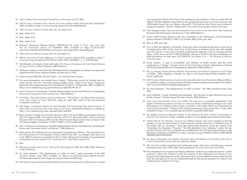- 63 Adva Center, *Total Government Expenditure as Percentage of GDP*, 2003.
- 64 OECD, *Israel: A divided society—Results of a review of labour-market and social policy,* 20 January 2010, available at: http://www.oecd.org/dataoecd/0/40/44394444.pdf
- 65 CBS, *Statistical Abstract of Israel 2008*, No. 59, Table 12.18.
- 66 Ibid., Table 12.12
- 67 Ibid., Table 12.23
- 68 Ibid., Table 12.10
- 69 Professor (Emeritus) Shimon Shamir (2005-09-19) *The Arabs in Israel—Two Years after The Or Commission Report*, 19 September 2005, available at: http://72.14.221.104/ search?q=cache:DPczMyN0nWkJ:www.dayan.org/kapjac/files/shamirEng.pdf
- 70 CBS, *Statistical Abstract of Israel 2009*, No. 60, Table 12.1.
- 71 OECD, *Overview of Gender Differences in OECD Countries*, March 2010, available at: http:// www.oecd.org/document/51/0,3343,en\_2649\_37457\_44720243\_1\_1\_1\_37457,00.html
- 72 The Ministry of Industry, Trade and Labor, *The Status of Employment of Arab Women Between the Ages of 18-65 in 2006*, 29 January 2008 (Hebrew).
- 73 With the exception of men from the Palestinian Druze community, according to an agreement signed between Druze religious leaders and the state in 1956.
- 74 Labor Lawsuit 4962/09, *Abdullah Tayeh v. The Israel Railway Company.*
- 75 For more information, see Adalah News Update, "Following Lawsuit by Adalah, Sawt el-Amel and the Tel Aviv University Human Rights Clinic, Labor Court Issues Temporary Injunction Preventing Dismissal of Arab Railway Workers," 17 September 2009, available at: http://www.adalah.org/eng/pressreleases/pr.php?file=09\_09\_17
- 76 The Civil Service Commission, "Suitable Representation for the Arab Minority, including the Druze and Circassians in the Civil Service," 2006 (Hebrew).
- 77 Ali Hedar, "The Arab Citizens in the Civil Service," *Sikkuy Report, Equality and the Integration of the Arab Citizens of Israel, 2000-2001*, citing an April 2001 report of the Governmental Companies Authority.
- 78 The Negev Coexistence Forum for Civil Equality, T*he International Day Against Racism, 21 March 2010, the Situation of the Arab Villages in the Negev*, March 2010 (Hebrew), available at: http://www.dukium.org/user\_uploads/pdfs/doh.pdf
- 79 These decisions include Government Decision 1832 of 29 April 2004; Government Decision 414 of 15 August 2006; Government Decision 2579 of 11 November 2007; and Government Decision 4437 of 25 January 2009. See the Third Periodic Report of the State of Israel to the UN Human Rights Committee, CCPR/C/ISR/3, 21 November 2008.
- 80 The Civil Service Commission, "Suitable Representation for the Arab Minority, including the Druze and Circassians in the Civil Service," 2006 (Hebrew).
- 81 Data sent by the Authority for Governmental Corporations to Sikkuy—The Association for the Advancement of Civil Equality in Israel, dated 6 July 2009. According to this data, as of 6 July 2009, Jewish men accounted for 54.3% of the sitting board members of governmental corporations, Jewish women 37.6%, Arab men 5.2%, and Arab women 2.7%.
- 82 Ibid.
- 82 Mossawa, Center, *Arab Citizens' Share of the State Budget for 2008*, May 2008, Haifa: Mossawa Center (Hebrew).
- 84 Dr. Yosef Jabareen, "The Employment of Arabs in Israel," paper presented at the 18th Caesarea Forum, June 2010, available at: http://www.idi.org.il/sites/english/events/ TheAnnualEconomicForum/Pages/EconomicConference2010.aspx
- 85 The first ever government-funded initiative for private investment in Arab business in Israel

was launched in March 2010. Part of the funding for the initiative, which is worth NIS 180 million (US \$49 million) is provided by the government and part by private investors, the Al-Bawader Group. See, e.g., Meirav Arlosoroff, "The Arab you don't know may be about to change the market," *Haaretz*, 4 March 2010. The results of the project remain to be seen.

- 86 Orly Almagor-Lotan, *Day Care and Family Home Care Centers in the Arab Sector*, The Center for Research and Information, The Knesset, 7 July 2008 (Hebrew).
- 87 Israel's Fifth Periodic Report to the UN Committee on the Elimination of Discrimination against Women, CEDAW/C/ISR/5, 21 October 2009, p.210, para. 466.
- 88 Ibid., p. 208, para. 462.
- 89 E.g., in 2005, the Ministry of Industry, Trade and Labor rescinded its decision to close down an employment office in the Arab town of Kufr Kana in northern Israel only after Adalah and The Laborer's Voice (Sawt el-Amel) petitioned the Supreme Court to demand that the office, which serves around 71,000 Palestinian citizens of Israel in the area, including over 4,000 job-seekers, be kept open. HCJ 8249/04, *Ziad Matar et al. v. The Ministry of Industry, Trade and Labor*.
- 90 Yoram Asidon, "A gap of accessibility and mobility in Israeli society, and the social implications of change," research report at the University of Haifa, Department of Nature and Environmental Resource Management, September 2004 (Hebrew).
- 91 See, e.g. Kayan, *Women Demand Mobility: Documenting Local Women's Experience in the Village of Maghar,* 2009 (English), available at: http://www.kayan.org.il/Public/mobility\_doc\_ report\_eng03.pdf
- 92 OECD, Labour Market and Socio-Economic Outcomes of the Arab-Israeli Population, 18 March 2010, p. 9, available at: http://www.oecd.org/officialdocuments/displaydocumentpdf?cote=delsa/ elsa/wd/sem%282010%292&doclanguage=en
- 93 Dr. Yosef Jabareen, "The Employment of Arabs in Israel," The 18th Caesarea Forum, June 2010.
- 94 Oren Yiftachel, "Lands, Planning and Inequality: The Division of Space Between Jews and Arabs in Israel," Position Paper, The Adva Center, 2000 (Hebrew).
- 95 *Israel Land Administration (ILA) Law (2009)*. The new law is extremely prejudicial to the rights of Palestinian citizens of Israel, as well as to those of Palestinian refugees. For more information see, Adalah position paper on behalf of the High Follow-up Committee for Arab Citizens of Israel, "Critique of the Israeli government's land reform bill," 21 July 2009, available at: http://www.adalah.org/newsletter/eng/jul09/jul09.html
- 96 See Adalah, *Interactive Map and Database on the History of the State of Israel's Expropriation of Land from the Palestinian People*, available at: http://www.adalah.org/features/land/flash/
- 97 Article 1(b) of *The Absentees' Property Law* defines persons who were expelled or fled the country, or who left their homes to seek temporary refuge elsewhere in Palestine from 29 November 1947 as "absentees." Israel then placed their property under the control of the "Custodian for Absentees' Property." The full definition of an "absentee" under the law and the full text of the law in English are available from the UN Information System on the Question of Palestine (UNISPAL) at: http://unispal.un.org/UNISPAL.NSF/0/E0B719E95E 3B494885256F9A005AB90A
- 98 For more information, see *Adalah's Interactive Map and Database on the History of the State of Israel's Expropriation of Land from the Palestinian People.*
- 99 The new law is silent regarding land confiscated under other laws, including laws enacted during the early years of the state, and in particular *The Land Acquisition Law (1953).*
- 100 The amendment also expands the Finance Minister's authority to confiscate land for "public purposes", allows the minister to alter the purpose of the confiscation and declare a new purpose if the initial purpose of the confiscation has not been fulfilled, and provides that the state has the right not to use the confiscated land for the specific purpose for which it was confiscated for a period of 17 years.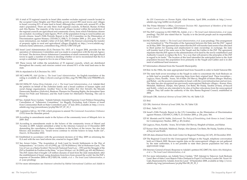- 101 A total of 53 regional councils in Israel (this number excludes regional councils located in the occupied Golan Heights and West Bank) govern around 850 rural towns and villages in Israel, covering 81% of state land in Israel, although they contain only around 8% of the state's population. There are only three Arab regional councils, Al-Batouf, Bustan Al-Marj and Abu Basma. The majority of the towns and villages located within the jurisdiction of the regional councils are agricultural and community towns, from which Palestinian citizens are excluded. According to state figures, 99.6% of the population living in rural localities are Jewish citizens. Israel's Fifth Periodic Report to the UN Committee on the Elimination of Discrimination against Women, CEDAW/C/ISR/5, 21 October 2009, p. 253, para. 565. For more information, see Adalah's letter of 21 July 2009 to the Knesset concerning the transfer of property rights in rural and agricultural villages (English) at: http://www.adalah.org/ features/land/admission\_committees-Eng\_FINAL%5B1%5D.pdf
- 102 Israel Land Administration (ILA) Decision No. 1015, of 1 August 2004, provides for the operation of Admissions Committees and was made in cooperation with the Jewish Agency for Israel. The decision directs Admissions Committees of small community and agricultural towns to apply a number of criteria in deciding whether or not to recommend that the ILA accept a candidate's request to live in one of these towns.
- 103 These towns fall within the jurisdiction of 53 regional councils, which are distributed throughout the country and exercise control over around 81% of the total land-area in the state.
- 104 As stipulated in ILA Decision No. 1015.
- 105 HCJ 6698/95, *Adel Qa'dan v, The Israel Land Administration*. An English translation of the ruling is available at: http://elyon1.court.gov.il/files\_eng/95/980/066/a14/95066980.a14. pdf
- 106 HCJ 8036/07, *Fatina Ebriq Zubeidat, et al. v. The Israel Land Administration, et al*. Adalah filed the petition on behalf of the Zubeidat family and a broad coalition of human rights and social change organizations: Another Voice in the Galilee *(Kol Aher BaGalil)*, the Mizrahi Democratic Rainbow (*HaKeshet*), Bimkom: Planners for Planning Rights, the Jerusalem Open House for Pride and Tolerance, and the Arab Center for Alternative Planning. The case is pending.
- 107 See, Adalah News Update, "Adalah Submits Amended Supreme Court Petition Demanding Cancellation of "Admission Committees" for Illegally Excluding Arab Citizens of Israel from Communities Built on State-Controlled Land," 27 July 2010, available at: http://www. adalah.org/eng/pressreleases/pr.php?file=27\_07\_10\_1
- 108 Legislative bill no. 18/1740, which proposes to amend *The Communal Associations Ordinance (1933)* from the Mandate period.
- 109 According to amendments made to the bylaws of the community town of Mitzpeh Aviv in 2009. Ibid.
- 110 According to amendments made to the bylaws of the community towns of Manof and Yuvalim in 2009. Adalah submitted a letter to the Attorney General on 13 December 2009 demanding the cancellation of these conditions in the bylaws of the towns. See also Jack Khoury and Jonathan Lis, "Israeli towns continue to rewrite bylaws to keep Arabs out", *Haaretz*, 16 December 2010.
- 111 Established in accordance with the government decision of 12 May 2009 on reforming the ILA and with the new land reform law, enacted in August 2009.
- 112 See Arnon Golan, "The Acquisition of Arab Land by Jewish Settlements in the War of Independence," in *Catedra*, vol. 63 (1992), pp. 122-54 (Hebrew); Yifa'at Holtzman-Gazit, "The Use of Law as a Status Symbol: The Jewish National Fund Law – 1953 and the Struggle of the JNF to Establish its Position in the State," in *Iyoni Mishpat*, vol. 26 (2002), pp. 601-44 (Hebrew). The JNF claims that it bought 1.25 million dunams of land from the state immediately after the establishment of Israel, using donations from Jews from around the world. See the JNF's response of December 2004 to HCJ 9205/04, *Adalah, et al. v. The Israel Land Administration, et al.* (case pending).
- 113 For more information see *Statement submitted by Habitat International Coalition and Adalah to*

*the UN Commission on Human Rights,* 62nd Session, April 2006, available at: http://www. adalah.org/eng/intl06/un-i6-jnf.pdf

- 114 The Prime Minister's Office, *Government Decision 902: Appointment of Members of the Israel Lands Council*, 15 November 2009 (Hebrew).
- 115 The JNF's response to HCJ 9205/04, *Adalah, et al. v. The Israel Land Administration, et al.* (case pending). The JNF also stated that its "loyalty is to the Jewish people and its responsibility is to it alone."
- 116 HCJ 9205/04, *Adalah v. The Israel Land Administration, et al.* (case pending). This arrangement was formalized in "The Principles of the Agreement between the State and the JNF," signed on 26 May 2009. The agreement also states that the JNF will transfer land assets it has allocated to third parties for housing and employment to state ownership; in exchange, the state will transfer land of the same area in the Naqab and the Galilee to the JNF. The agreement stipulates that the JNF agrees to the administration of its land by the newly-established Land Authority Council, to replace the ILA, "in a way that will preserve the principles of the JNF in regard to its lands." The location of this land intensifies the anticipated harm to the Arab population because this population lives primarily in the Naqab and Galilee and is in dire need of additional land resources.
- 117 Information obtained from the Nazareth Municipality.
- 118 Ibid. In the 1960s, the state appropriated land from Nazareth in order to build Natzerat Illit.
- 119 The state built seven townships in the Naqab in order to concentrate the Arab Bedouin on as little land as possible after removing them from their original land. These townships— Lagiyya, Hura, Kseiffe, 'Arara, Tel el-Sabe (Tel Sheva), Shegheb al-Salam (Shegev Shalom), and Rahat—are the poorest communities in Israel, with the worst infrastructure and services. The state has also recognized ten previously-unrecognized Bedouin villages—Kassar Alser, Moladah, Makhoul, Darijat, Abu Qrenat, Um Batin, Bir Hadaj, Tarabin al-Sana, al-Sayyid and Kuhli—which are also intended to be sites of further relocations from the unrecognized villages. They fall under the authority of the Abu Basma Regional Council, established in  $2004$ .
- 120 Israeli CBS, *Statistical Abstract of Israel 2009*, No. 60, Table 5.23.

121 Ibid.

122 CBS, *Statistical Abstract of Israel 2008*, No. 59, Table 5.20.

123 Ibid., Table 5.23.

- 124 Israel's Fifth Periodic Report to the UN Committee on the Elimination of Discrimination against Women, CEDAW/C/ISR/5, 21 October 2009, p. 254, para. 566.
- 125 M. Mustafa and M. Subhi, *Unlicensed: The Policy of Demolishing Arab Homes in Israel,* Center for Contemporary Studies, 2005, p. 48 (Arabic).
- 126 Lagiyya, Hura, Kseiffe, 'Arara, Tel el-Sabe (Tel Sheva), Shegheb al-Salam, and Rahat.
- 127 Kassar Alser, Moladah, Makhoul, Darijat, Abu Qrenat, Um Batin, Bir Hadaj, Tarabin al-Sana, al-Sayyid and Kuhli.
- 128 GIS data obtained from the Arab Center for Regional Planning (ACAP), 20 December 2010.
- 129 The Regional Council for the Unrecognized Villages in the Naqab, telephone conversation held on 8 March 2009. Because regular data on the unrecognized villages are not gathered by the state authorities, it is not possible to state their precise population but only an approximate range.
- 130 Attorney General of Israel, Response to Adalah's petition HCJ 2887/04, *Salem Abu Medeghem, et al. v. The Israel Land Administration, et al.*
- 131 For more information, see Adalah News Update, "JNF Attempt to Takeover Arab Bedouin Land: Beer el-Sabe Court Rejects Police Demand to Expel Civil Society Leader Mr. Nouri Al-Uqbi, Represented by Adalah, from his Land," 10 September 2008, available at: http://www. adalah.org/eng/pressreleases/pr.php?file=08\_09\_10\_1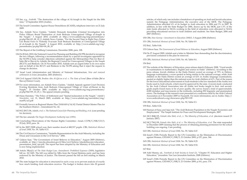- 132 See, e.g., *Arabs48,* "The destruction of the village of Al-Araqib in the Naqab for the fifth time," 13 September 2010 (Arabic).
- 133 The Israeli Committee Against House Demolitions (ICAHD), telephone interview on 21 July 2009.
- 134 See, Adalah News Update, "Adalah Demands Immediate Criminal Investigation into Police Officers Brutal Destruction of Arab Bedouin Unrecognized Village al-Araqib in the Naqab," 3 August 2010, available at: http://www.adalah.org/eng/pressreleases/ pr.php?file=03\_08\_10\_2; Adalah News Update, "For the Second Time in Eight Days Police Use Brutal Force to Violently Evacuate Arab Bedouin Residents of Unrecognized Village of al-Araqib in the Naqab," 4 August 2010, available at: http://www.adalah.org/eng/ pressreleases/pr.php?file=04\_08\_10
- 135 The Report of the Goldberg Commission, December 2008, para. 108.
- 136 On 20 July 2010, the National Council for Planning and Building (NCPB) decided to recognize the two villages, following a recommendation made by a special investigator appointed by the NCPB to help consider objections submitted against the Metropolitan Plan for Beer el-Sabe (Be'er Sheva) by Adalah, the Regional Council for Unrecognized Villages in the Naqab (RCUV) and Bimkom. On 16 November 2010, Adalah sent an urgent letter in its own name and on behalf of the RCUV and Bimkom to the NCPB asking that it reject the request to change its decision.
- 137 Israel Land Administration and Ministry of National Infrastructure, *New and renewed settlements in Israel*, Jerusalem, 2001 (Hebrew).
- 138 Civil Appeal 11165/09, *Ibrahim Abu Al-Qia'an et al. v. The State of Israel* (Beer el-Sabe [Be'er Sheva] District Court).
- 139 For more information, see Adalah News Update, "Adalah Appeals against Court Decision Evicting Residents from Arab Bedouin Unrecognized Village of Umm al-Hieran in the Naqab," 25 October 2009, available at: http://www.adalah.org/eng/pressreleases/ pr.php?file=09\_10\_25\_1. The appeal remains pending.
- 140 Hana Hamdan, "The Policy of Settlement and "Spatial Judaization in the Naqab," *Adalah's Newsletter*, vol. 11, March 2005, available at: http://www.adalah.org/newsletter/eng/ mar05/ar2.pdf
- 141 Formally known as Regional Master Plan TAMAM 4/14/42: Partial District Master Plan for the Southern District—Amendment No. 42.
- 142 HCJ 2817/06, *Adalah, et al. v. The National Council for Planning and Building, et al.* (case pending for decision).
- 143 The law amends *The Negev Development Authority Law (1991).*
- 144 Concluding Observations of the Human Rights Committee—Israel, CCPR/C/ISR/CO/3, 29 July 2010, para. 24.
- 145 In the 2007/2008 school year, their number stood at 480,517 pupils. CBS, *Statistical Abstract of Israel 2008*, No. 59, Table 8.13.
- 146 The Civil Service Commission, "Suitable Representation for the Arab Minority, including the Druze and Circassians in the Civil Service," 2006.
- 147 Gideon Saar, "The Government of Israel Believes in Education," August 2009 (Hebrew), available at: http://meyda.education.gov.il/files/owl/hebrew/alsederhayom/education\_ presentation\_final\_opt.pdf. The report has been adopted by the Ministry of Education and is now being implemented.
- 148 Article 3B(a)(1) of *The State Budget Law, Amendment: Prohibited Expenses (2009)*, legislative bill no. 18/1403. The bill was tabled by MKs from the Yisrael Beiteinu party and has been endorsed by the Ministry of Justice. The Knesset passed the bill on first reading in March 2010.
- 148 The state budget for education is structured in such a way as to prevent analysis of exactly how much funding Arab education receives. The budget is broken down into 20 general

articles, of which only one includes a breakdown of spending on Arab and Jewish education, namely the Pedagogy Administration, the executive arm of the MOE. The Pedagogy Administration allocated 4% of its budget to Arab education in 2006 and 3% in 2007. In addition, in line with the State Budget for 2006, drawn up by the MOE, just 1.5% of the state funds allocated to NGOs working in the field of education were allocated to NGOs providing educational services to Arab children and students. See State Budget, 2006 and 2007 (Hebrew).

- 150 CBS, *New Survey—Investment in Education 2000/1*, 3 August 2004 (Hebrew).
- 151 CBS, *Statistical Abstract of Israel 2008*, No. 59, Table 8.9.

152 Ibid., Table 8.44.

- 153 Gideon Saar, *The Government of Israel Believes in Education*, August 2009 (Hebrew).
- 154 On 27 August 2009, Adalah sent a letter to Minister Saar demanding that the discriminatory provisions contained in the plan be removed.
- 155 CBS, *Statistical Abstract of Israel 2009*, No. 60, Table 8.4.

156 Ibid.

- 157 The website of the Ministry of Education, press release dated 6 February 2008, "Good results in examinations in mathematics, English and science in Haifa" (Hebrew). According to the press release, Jewish children in the Haifa District scored an average of 79% in Hebrew language examinations, a score quoted as being similar to the national average, while Arab children in the Haifa District scored an average of 62% in Arabic language examinations, quoted as slightly higher than the national score for Arab children of 61%. Part of the reason for the lower educational achievement of Arab students is the low standard of the Arabic text books used in Arab schools, which must be approved by the state. A recent study conducted by the Arab Cultural Association into all Arabic text books taught to first- and secondgrade pupils found many to be of poor quality; the survey found a total of approximately 4,000 mistakes and inaccuracies in the textbooks, including 892 linguistic and grammatical errors. The findings of the research were presented at a conference held by the Arab Cultural Association on 6 November 2009 in Nazareth. For more information, see in Arabic: http:// www.arabcultural-a.org/shownews.php?ID=199
- 158 CBS, *Statistical Abstract of Israel 2008*, No. 59, Table 8.3.

159 Ibid., Table 8.24.

- 160 Hannan el-Sana and Ajaj Asif, "The Arab Bedouin Population in the Naqab: Economics and Employment," The Naqab Institute for Peace and Development Strategies, 2007.
- 161 HCJ 2848/05, *Fatmeh Abu Sbeli, et al., v. The Ministry of Education, et al*. (decision issued 23 January 2007).
- 162 HCJ 7562/09, *Fatmeh Abu Sbeli, et al. v. The Ministry of Education, et al.* The state responded in December 2009 claiming that the process of obtaining planning permission for the school building was ongoing. Case pending.
- 163 CBS, *Statistical Abstract of Israel 2008*, No. 59, Table 8.47.
- 164 Israel's Fifth Periodic Report to the UN Committee on the Elimination of Discrimination against Women, CEDAW/C/ISR/5, 21 October 2009, p.157, para. 366.
- 165 CBS, *Statistical Abstract of Israel 2008*, No. 59, Table 8.25.
- 166 CBS, *Statistical Abstract of Israel 2008*, No. 59, Table 8.52.

167 Ibid.

- 168 Adel Manna, ed., *Yearbook of Arab Society in Israel (2)*, "Chapter IV: Education and Higher Education," Jerusalem: Van Leer Jerusalem Institute, 2008 (Hebrew).
- 169 Israel's Fifth Periodic Report to the UN Committee on the Elimination of Discrimination against Women, CEDAW/C/ISR/5, 21 October 2009, p.161, para. 374.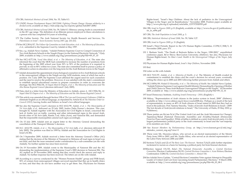170 CBS, *Statistical Abstract of Israel 2004*, No. 55, Table 8.3.

- 171 UNDP, *Human Development Report 2007/2008, Fighting Climate Change: Human solidarity in a divided world*, available at: http://hdr.undp.org/en/reports/global/hdr2007-2008/
- 172 CBS, *Statistical Abstract of Israel 2008*, No. 59, Table 8.3. Illiteracy among Arabs is concentrated in the 45+ age range. The definition of an illiterate person employed in these calculations is a person who has completed 0-4 years of schooling.
- 173 The Galilee Society: The Arab National Society for Health Research and Services, *The Palestinians in Israel—Socio-Economic Survey 2007*, pp. 211-212.
- 174 See HCJ 2814/07, *The Follow-Up Committee on Arab Education, et al. v. The Ministry of Education, et al*., submitted to the Supreme Court by Adalah in May 1997.
- 175 See, e.g. Adalah News Update, "Adalah Petitions Supreme Court to Compel Connection of Two Arab Bedouin Schools in the Naqab (Negev) to the National Electricity Network," 9 July 2009, available at: http://www.adalah.org/eng/pressreleases/pr.php?file=09\_07\_10
- 176 See HCJ 4177/04, *Yusef Abu-Abied, et al. v. The Ministry of Education, et al.* The state also informed the court that the MOE had committed to increase the number of positions from the beginning of the 2005 school year from 30% to 50% of the positions it is required to provide, to rise to 80% within two years. The state also committed itself to pursue a policy of affirmative action in education over the long term for the Arab Bedouin towns in the Naqab.
- 177 Adalah demanded the appointment of psychological counselors in five Arab Bedouin schools in the unrecognized villages in the Naqab serving 3,650 students, none of which has such a position. On 1 July 2009, the Supreme Court affirmed the urgent need for such counselors and the need to resolve the problem. However, it was satisfied with the state's commitment to establish special educational courses to prepare counselors in order to overcome the shortage. See HCJ 3926/06, *Al-Sayed Abed El-Dayem, et al. v. The Ministry of Education and The Abu Basma Regional Council* (decision delivered 1 July 2009).
- 178 Data cited in a letter from the Ministry of Education to Adalah, annex 4 , HCJ 3926/06, *Al-Sayed Abed El-Dayem et al. v. The Ministry of Education and the Abu Basma Regional Council.*
- 179 This article was amended through Section 15B of *The Law and Government Ordinance (1948)* to eliminate English as an official language, as stipulated by Article 82 of *The Palestine Order-in-Council (1922)*, leaving Arabic and Hebrew as Israel's two official languages.
- 180 See also the Supreme Court's decision in HCJ 4112/99, *Adalah, et al. v. The Municipality of Tel Aviv-Jaffa, et al.*, delivered on 25 July 2002, Justice Dalia Dorner's decision. This case, brought by Adalah together with the Association for Civil Rights in Israel, concerned the lack of Arabic text on traffic, warning and other informational signs in the mixed Arab-Jewish cities of Tel Aviv-Jaffa, Ramle, Lod, Akka (Acre), and Natzerat Illit, and demanded that the responsible municipalities amend such signs accordingly.
- 181 On 15 July 2009, Adalah sent an urgent letter to the Attorney General demanding the cancellation of the Transport Minister's decision.
- 182 H.C. 4112/99, *Adalah, et al. v. The Municipality of Tel Aviv-Jaffa, et al.* (decision delivered 25 July 2002). The petition was filed in 1999 by Adalah and the Association for Civil Rights in Israel (ACRI).
- 183 On 3 September 2009, Adalah received a letter from the Attorney General's Office (AG) stating that the decision of the Minister of Transport to Hebraize all road signs in Israel was not final, and that the issue remained under consideration by a sub-committee (on file with Adalah). No further update has since been received.
- 184 On 19 November 2009, Adalah wrote to the Municipality of Natzerat Illit and the AG demanding the implementation of the Supreme Court's 2002 decision in Natzerat Illit. The AG replied on 29 November 2009, stating that they would check the answer and reply to Adalah. No further response has been received. The letters are on file with Adalah.
- 185 According to a survey conducted by the "Women Promote Health" group and PHR-Israel, 50% of women from unrecognized villages surveyed reported that they go to health clinics on foot, and that they do not have another way to get there. See, Physicians for Human

Rights-Israel, "Israel's Step Children: About the lack of pediatrics in the Unrecognized Villages in the Negev and its Ramifications," November 2008. Position paper available at: http://www.phr.org.il/uploaded/articlefile\_1237372920593.pdf

- 186 CBS, *Israel in Figures 2009*, p.11 (English), available at: http://www.cbs.gov.il/publications/ isr in n09e.pdf
- 187 CBS, *The Arab Population in Israel 2008*, p. 3.
- 188 CBS, *Statistical Abstract of Israel 2008*, No. 59, Table 3.27.
- 189 CBS, *Israel in Figures 2009*, p. 11 (English).
- 190 Israel's Third Periodic Report to the UN Human Rights Committee, CCPR/C/ISR/3, 21 November 2008, para. 571.
- 191 I. Shoham Vardi, "The Death of Bedouin Babies in the Negev, 1990-2002," unpublished conference paper, Be'er Sheva: Ben-Gurion University; (Hebrew). See also, Physicians for Human Rights-Israel, *No Man's Land: Health in the Unrecognized Villages of the Negev*, July 2003.
- 192 Physicians for Human Rights-Israel, *Israel's Step Children*, November 2008.

193 Ibid.

- 194 Letter on file with Adalah.
- 195 HCJ 7115/97, *Adalah, et al. v. Ministry of Health, et al*. The Ministry of Health evaded its commitment to establish the clinics and the court's decision for several years, eventually setting the clinics up in 2000 and 2001 following further pressure from Adalah and others.
- 196 HCJ 10054/09, *Wadad El-Hawashly, et al. v. The Ministry of Health*. See Adalah News Update, "Adalah Petitions Supreme Court against Health Ministry Demanding Re-Opening of Mother and Child Clinics in Three Arab Bedouin Unrecognized Villages in the Naqab," 16 December 2009, available at: http://www.adalah.org/eng/pressreleases/pr.php?file=09\_12\_16
- 197 Israel Democracy Institute, *Auditing Israeli Democracy—2010*, (English) v.
- 198 Sikkuy, "Representation of Arab citizens in the justice system in Israel, 2008" (Hebrew), available at: http://www.sikkuy.org.il/docs/courts2008.doc. Perhaps as a result of the lack of representation, as many as 40% of Arab citizens of Israel stated in 2009 that they had no trust in the judiciary. Prof. Sammy Smooha, "Index of Jewish-Arab Relations in Israel—2009: The lost decade of Arab-Jewish relations in Israel," The University of Haifa, 25 May 2010, p. 9 (Hebrew).
- 199 These parties are Ra'am-Ta'al (The United Arab List and the Arab Movement for Change), Tajammoa/Balad (National Democratic Assembly) and Al-Jabha/Hadash (Democratic Front for Peace and Equality). While al-Jabha is defined as a joint Arab-Jewish party, it is the largest parliamentary political party in the Arab community in Israel and the vast majority of its members are Arab.
- 200 See *Knesset Members by Parliamentary Group*, at: http://www.knesset.gov.il/mk/eng/ mkindex\_current\_eng.asp?view=1
- 201 These were Ms. Hussniya Jabara, who served as an elected representative of the Meretz Party from 1999 to 2003, and Ms. Nadia Hilou, who served as an elected representative of the Labor Party between 2006 and 2009.
- 202 Sections 7(A)(1) and (2) of *The Basic Law: The Knesset*. Section 7(A)(3) adds further stipulates incitement to racism as a basis for banning a political party list from Knesset elections.
- 203Election Appeal 131/03, *Balad—The National Democratic Assembly v. Central Elections Committee*; Election Confirmation 50/03, *Central Elections Committee v. Azmi Bishara*; Election Confirmation 11280/02, *Central Elections Committee v. Ahmed Tibi*.
- 204 See Adalah News Update, "Central Elections Committee Votes against Attempt to Disqualify Leader of United Arab List from Upcoming Israeli Parliamentary Elections," 8 March 2006, available at: http://www.adalah.org/eng/pressreleases/pr.php?file=06\_03\_08-1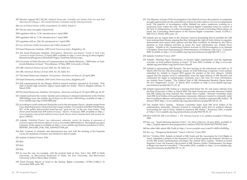- 205 Election Appeal HCJ 561/09, *National Democratic Assembly and United Arab List and Arab Movement for Change v. The Central Elections Committee and the Attorney General.*
- 206 *Law of Political Parties (1992) (Amendment 12) (2002)*, Article 5.
- 207 The law does not apply retroactively.
- 208 Legislative bill no. 5/18, introduced on 1 April 2009.
- 209 Legislative bill no. 7/18, introduced on 1 April 2009.
- 210 Legislative bill no. 226/18, introduced on 1 April 2009.
- 211 *Law of Election (1969) (Amendment 46) (2002)*, Section 57.
- 212 Israel Democracy Institute, *2009 Israeli Democracy Index*, (English) p. 53.
- 213 The Israel Democracy Institute, *Participation, Abstention and Boycott: Trends in Arab Voter Turnout in Israeli Elections*, 22 April 2009, available at: http://www.idi.org.il/sites/english/ ResearchAndPrograms/elections09/Pages/ArabVoterTurnout.aspx
- 214 University of Haifa Division of Communication and Media Relations, "2008 Index of Arab-Jewish Relations in Israel," Press Release, 19 May 2009, University of Haifa.
- 215 CBS, *Statistical Abstract of Israel 2008*, No. 59, Table 10.1.
- 216 CBS, *Statistical Abstract of Israel 2009*, No. 60, Table 10.1
- 217 The Israel Democracy Institute, *Participation, Abstention and Boycott*, 22 April 2009.
- 218 Israel Democracy Institute, *2009 Israeli Democracy Index*, (English) p.65.
- 219 Poll commissioned by the Maagar Mochot research institute, reported in Or Kashti, "Poll: Half of Israeli high schoolers oppose equal rights for Arabs," *Haaretz* (English edition), 11 March 2010.
- 220 The Israel Democracy Institute, *Participation, Abstention and Boycott*, 22 April 2009, pp. 66, 87.
- 221 Adalah represents the victims' families and continues to demand indictments in the October 2000 killings cases. See Adalah, *Special Report on the October 2000 Killings*, available at: http:// www.adalah.org/eng/october2000.php
- 222 According to a poll conducted during the war by the newspaper *Haaretz*, despite images from Gaza depicting massive destruction and a large number of wounded and killed Palestinians, 82% of the public believed that Israel has not "gone too far" in the war. Yossi Verter, "Poll shows most Israelis back IDF action in Gaza," *Haaretz*, 15 January 2009, available at: http:// www.haaretz.com/print-edition/news/poll-shows-most-israelis-back-idf-action-ingaza-1.268162.
- 223 Adalah, *Prohibited Protest: Law enforcement authorities restrict the freedom of expression of protestors against the military offensive in Gaza*, November 2009 (Hebrew). The English executive summary of the report is available at: http://www.adalah.org/features/prisoners/GAZA\_ REPORT\_ENGLISH\_FOR\_THE\_NEWSLETTER.pdf
- 224 Ibid. Contrary to domestic and international law, and with the backing of the Supreme Court, the treatment of minors was identical to that of adults.
- 225 Adalah, *Prohibited Protest, 2009.*

226 Ibid.

- 227 Ibid.
- 228 Ibid.
- 229 As was the case, for example, with the protests held on New Year's Day 2009 at Haifa University, on Ben-Gurion Boulevard in Haifa, Tel Aviv University, and Ben-Gurion University in Be'er Sheva (Beer el-Sabe).
- 230 Third Periodic Report of Israel to the Human Rights Committee, CCPR/C/ISR/3, 21 November 2008, para. 200.
- 231 The Ministry of Justice Police Investigation Unit (*Mahash*) reviews the majority of complaints brought against police for the unlawful use of force by police officers. It is not an independent body. The majority of investigators within Mahash are police employees working on a temporary basis within the unit. The UN Human Rights Committee noted its concern at the lack of independence of police investigators in its recent Concluding Observations on Israel. See Concluding Observations of the Human Rights Committee—Israel, CCPR/C/ ISR/CO/3, 29 July 2010, para. 12.
- 232 Adalah sent an urgent letter to the Attorney General demanding that he prohibit the GSS from making these threats, arguing that they infringed the right of Arab citizens to organize, demonstrate and express their opinion and that they constitute an attempt by the GSS to interfere in Arab political activities in Israel. For more information see, Adalah News Update, "Adalah to AG: Summoning Political Activists to GSS Investigation is an Attempt to Frighten Them from Participating in Demonstrations of Solidarity with Gaza," 2 January 2009, available at: http://www.adalah.org/eng/pressreleases/pr.php?file=09\_1\_2\_1

233 Adalah, *Prohibited Protest, 2009.*

- 234 Adalah, "Briefing Paper: Restrictions on human rights organizations and the legitimate activities of Arab political leaders in Israel," 23 June 2010, available at: http://www.oldadalah.org/newsletter/eng/jun10/docs/bp.pdf
- 235 Adalah is representing MK Barakeh. The first hearing on the indictment was held on 10 March 2010 but the trial proceedings remain on hold following a Supreme Court petition submitted by Adalah in August 2010 against the joinder of the four offences. Adalah argued that the joinder stood to substantially harm the legal defense of MK Barakeh and undermine his rights to parliamentary immunity and a fair trial. For more information, see Adalah News Update, "The Political Trial of MK Mohammed Barakeh Opens before Tel Aviv Magistrates' Court," 11 March 2010, available at: http://www.adalah.org/eng/ pressreleases/pr.php?file=11\_03\_10
- 236 Adalah represented MK Naffaa at a hearing held before the AG and senior officials from the State Prosecutor's Office in March 2009. The State Prosecutor recently informed Adalah that MK Naffaa has been indicted. See, Adalah News Update, "Knesset Committee strips Arab MK Sa'id Naffaa of his parliamentary immunity; Attorney General to criminally indict him for political offenses surrounding his visit to Syria; Adalah to represent MK Naffaa," 28 January 2010: http://www.adalah.org/eng/pressreleases/pr.php?file=28\_01\_10
- 237 See Adalah News Update, "Knesset Committee strips Arab MK Sa'id Naffaa of his parliamentary immunity; Attorney General to criminally indict him for political offenses surrounding his visit to Syria; Adalah to represent MK Naffaa," 28 January 2010, available at: http://www.adalah.org/eng/pressreleases/pr.php?file=28\_01\_10
- 238 HCJ 11225/03, *MK Azmi Bishara. v. The Attorney General, et al.*, petition accepted 1 February 2006.
- 239 See, e.g., "Israel Silencing Internal Critics," *Riz Khan* (*AlJazeera*, 14 June 2010), available at: http://english.aljazeera.net/programmes/rizkhan/2010/06/20106136375951921.html
- 240 See other MKs attack MK Zoabi at: http://www.youtube.com/watch?v=KBUxZnHb2ig
- 241 See, e.g., "Dangerous Incitement," *Haaretz Editorial*, 7 June 2010.
- 242 On 7 October 2010, Adalah on behalf of MK Zoabi and the Association for Civil Rights in Israel, submitted a petition to the Supreme Court of Israel against the Knesset's decision to revoke MK Zoabi's parliamentary privileges. See Adalah News Update, "Petition to Israeli Supreme Court: the Knesset's Revocation of MK Haneen Zoabi's Parliamentary Privileges is Illegal and must be Cancelled," 7 November 2010, available at: http://www.adalah.org/ eng/pressreleases/pr.php?file=07\_11\_10